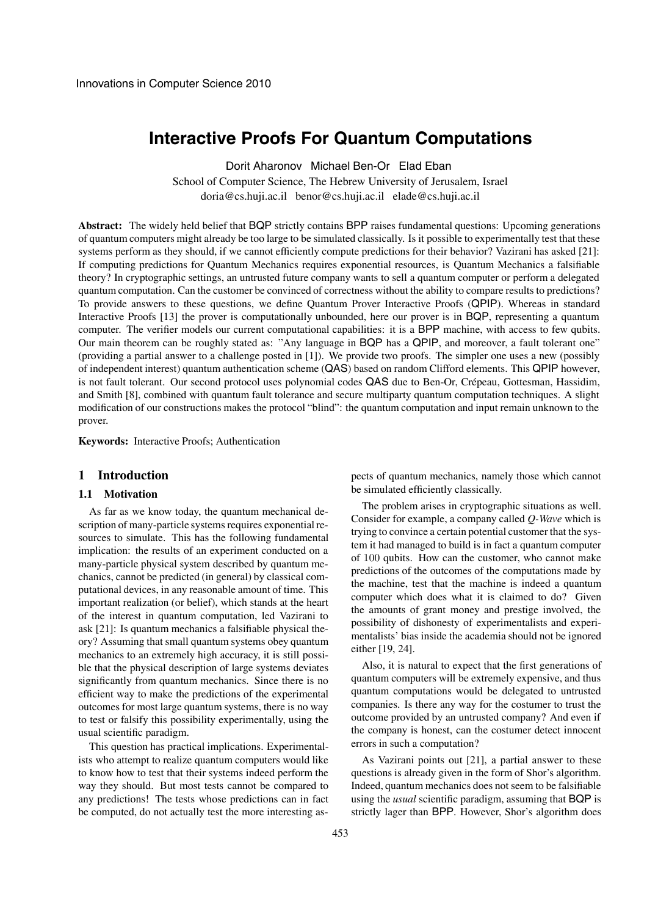# **Interactive Proofs For Quantum Computations**

Dorit Aharonov Michael Ben-Or Elad Eban

School of Computer Science, The Hebrew University of Jerusalem, Israel doria@cs.huji.ac.il benor@cs.huji.ac.il elade@cs.huji.ac.il

**Abstract:** The widely held belief that BQP strictly contains BPP raises fundamental questions: Upcoming generations of quantum computers might already be too large to be simulated classically. Is it possible to experimentally test that these systems perform as they should, if we cannot efficiently compute predictions for their behavior? Vazirani has asked [21]: If computing predictions for Quantum Mechanics requires exponential resources, is Quantum Mechanics a falsifiable theory? In cryptographic settings, an untrusted future company wants to sell a quantum computer or perform a delegated quantum computation. Can the customer be convinced of correctness without the ability to compare results to predictions? To provide answers to these questions, we define Quantum Prover Interactive Proofs (QPIP). Whereas in standard Interactive Proofs [13] the prover is computationally unbounded, here our prover is in BQP, representing a quantum computer. The verifier models our current computational capabilities: it is a BPP machine, with access to few qubits. Our main theorem can be roughly stated as: "Any language in BQP has a QPIP, and moreover, a fault tolerant one" (providing a partial answer to a challenge posted in [1]). We provide two proofs. The simpler one uses a new (possibly of independent interest) quantum authentication scheme (QAS) based on random Clifford elements. This QPIP however, is not fault tolerant. Our second protocol uses polynomial codes QAS due to Ben-Or, Crépeau, Gottesman, Hassidim, and Smith [8], combined with quantum fault tolerance and secure multiparty quantum computation techniques. A slight modification of our constructions makes the protocol "blind": the quantum computation and input remain unknown to the prover.

**Keywords:** Interactive Proofs; Authentication

# **1 Introduction**

# **1.1 Motivation**

As far as we know today, the quantum mechanical description of many-particle systems requires exponential resources to simulate. This has the following fundamental implication: the results of an experiment conducted on a many-particle physical system described by quantum mechanics, cannot be predicted (in general) by classical computational devices, in any reasonable amount of time. This important realization (or belief), which stands at the heart of the interest in quantum computation, led Vazirani to ask [21]: Is quantum mechanics a falsifiable physical theory? Assuming that small quantum systems obey quantum mechanics to an extremely high accuracy, it is still possible that the physical description of large systems deviates significantly from quantum mechanics. Since there is no efficient way to make the predictions of the experimental outcomes for most large quantum systems, there is no way to test or falsify this possibility experimentally, using the usual scientific paradigm.

This question has practical implications. Experimentalists who attempt to realize quantum computers would like to know how to test that their systems indeed perform the way they should. But most tests cannot be compared to any predictions! The tests whose predictions can in fact be computed, do not actually test the more interesting as-

pects of quantum mechanics, namely those which cannot be simulated efficiently classically.

The problem arises in cryptographic situations as well. Consider for example, a company called *Q-Wave* which is trying to convince a certain potential customer that the system it had managed to build is in fact a quantum computer of 100 qubits. How can the customer, who cannot make predictions of the outcomes of the computations made by the machine, test that the machine is indeed a quantum computer which does what it is claimed to do? Given the amounts of grant money and prestige involved, the possibility of dishonesty of experimentalists and experimentalists' bias inside the academia should not be ignored either [19, 24].

Also, it is natural to expect that the first generations of quantum computers will be extremely expensive, and thus quantum computations would be delegated to untrusted companies. Is there any way for the costumer to trust the outcome provided by an untrusted company? And even if the company is honest, can the costumer detect innocent errors in such a computation?

As Vazirani points out [21], a partial answer to these questions is already given in the form of Shor's algorithm. Indeed, quantum mechanics does not seem to be falsifiable using the *usual* scientific paradigm, assuming that BQP is strictly lager than BPP. However, Shor's algorithm does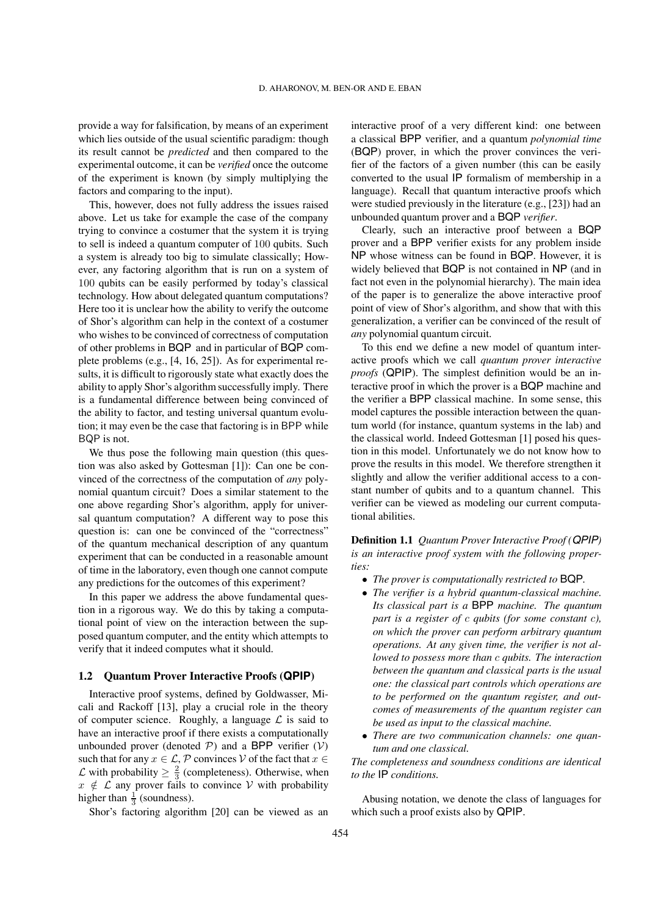provide a way for falsification, by means of an experiment which lies outside of the usual scientific paradigm: though its result cannot be *predicted* and then compared to the experimental outcome, it can be *verified* once the outcome of the experiment is known (by simply multiplying the factors and comparing to the input).

This, however, does not fully address the issues raised above. Let us take for example the case of the company trying to convince a costumer that the system it is trying to sell is indeed a quantum computer of 100 qubits. Such a system is already too big to simulate classically; However, any factoring algorithm that is run on a system of 100 qubits can be easily performed by today's classical technology. How about delegated quantum computations? Here too it is unclear how the ability to verify the outcome of Shor's algorithm can help in the context of a costumer who wishes to be convinced of correctness of computation of other problems in BQP and in particular of BQP complete problems (e.g., [4, 16, 25]). As for experimental results, it is difficult to rigorously state what exactly does the ability to apply Shor's algorithm successfully imply. There is a fundamental difference between being convinced of the ability to factor, and testing universal quantum evolution; it may even be the case that factoring is in BPP while BQP is not.

We thus pose the following main question (this question was also asked by Gottesman [1]): Can one be convinced of the correctness of the computation of *any* polynomial quantum circuit? Does a similar statement to the one above regarding Shor's algorithm, apply for universal quantum computation? A different way to pose this question is: can one be convinced of the "correctness" of the quantum mechanical description of any quantum experiment that can be conducted in a reasonable amount of time in the laboratory, even though one cannot compute any predictions for the outcomes of this experiment?

In this paper we address the above fundamental question in a rigorous way. We do this by taking a computational point of view on the interaction between the supposed quantum computer, and the entity which attempts to verify that it indeed computes what it should.

#### **1.2 Quantum Prover Interactive Proofs (QPIP)**

Interactive proof systems, defined by Goldwasser, Micali and Rackoff [13], play a crucial role in the theory of computer science. Roughly, a language  $\mathcal L$  is said to have an interactive proof if there exists a computationally unbounded prover (denoted  $P$ ) and a BPP verifier ( $V$ ) such that for any  $x \in \mathcal{L}, \mathcal{P}$  convinces  $\mathcal{V}$  of the fact that  $x \in \mathcal{V}$  $\mathcal L$  with probability  $\geq \frac{2}{3}$  (completeness). Otherwise, when  $x \notin \mathcal{L}$  any prover fails to convince  $\mathcal{V}$  with probability higher than  $\frac{1}{3}$  (soundness).

Shor's factoring algorithm [20] can be viewed as an

interactive proof of a very different kind: one between a classical BPP verifier, and a quantum *polynomial time* (BQP) prover, in which the prover convinces the verifier of the factors of a given number (this can be easily converted to the usual IP formalism of membership in a language). Recall that quantum interactive proofs which were studied previously in the literature (e.g., [23]) had an unbounded quantum prover and a BQP *verifier*.

Clearly, such an interactive proof between a BQP prover and a BPP verifier exists for any problem inside NP whose witness can be found in BQP. However, it is widely believed that BQP is not contained in NP (and in fact not even in the polynomial hierarchy). The main idea of the paper is to generalize the above interactive proof point of view of Shor's algorithm, and show that with this generalization, a verifier can be convinced of the result of *any* polynomial quantum circuit.

To this end we define a new model of quantum interactive proofs which we call *quantum prover interactive proofs* (QPIP). The simplest definition would be an interactive proof in which the prover is a BQP machine and the verifier a BPP classical machine. In some sense, this model captures the possible interaction between the quantum world (for instance, quantum systems in the lab) and the classical world. Indeed Gottesman [1] posed his question in this model. Unfortunately we do not know how to prove the results in this model. We therefore strengthen it slightly and allow the verifier additional access to a constant number of qubits and to a quantum channel. This verifier can be viewed as modeling our current computational abilities.

**Definition 1.1** *Quantum Prover Interactive Proof (QPIP) is an interactive proof system with the following properties:*

- ∙ *The prover is computationally restricted to* BQP*.*
- ∙ *The verifier is a hybrid quantum-classical machine. Its classical part is a* BPP *machine. The quantum part is a register of c qubits (for some constant c), on which the prover can perform arbitrary quantum operations. At any given time, the verifier is not allowed to possess more than qubits. The interaction between the quantum and classical parts is the usual one: the classical part controls which operations are to be performed on the quantum register, and outcomes of measurements of the quantum register can be used as input to the classical machine.*
- ∙ *There are two communication channels: one quantum and one classical.*

*The completeness and soundness conditions are identical to the* IP *conditions.*

Abusing notation, we denote the class of languages for which such a proof exists also by QPIP.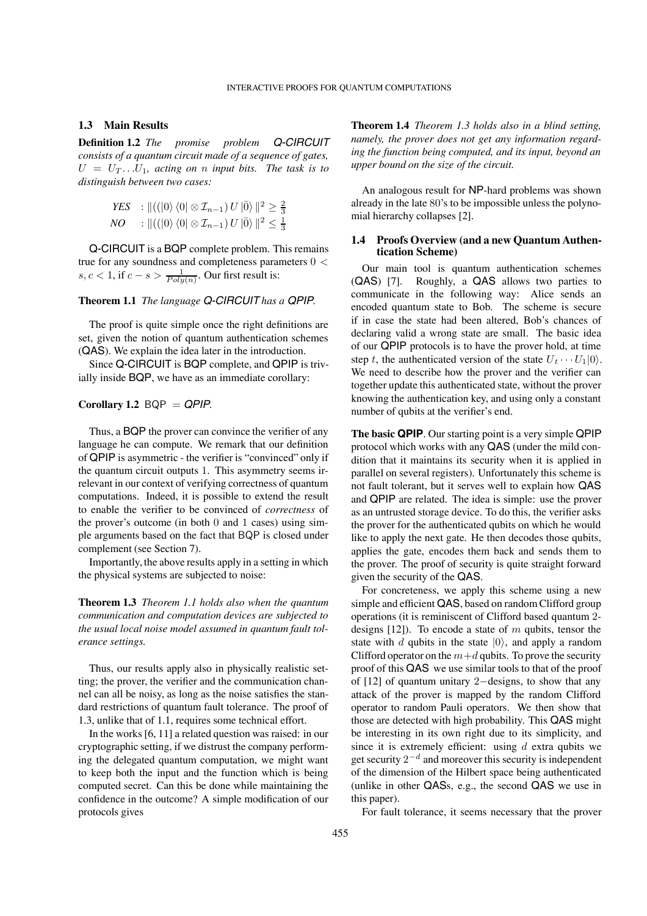# **1.3 Main Results**

**Definition 1.2** *The promise problem Q-CIRCUIT consists of a quantum circuit made of a sequence of gates,*  $U = U_T \dots U_1$ , acting on *n* input bits. The task is to *distinguish between two cases:*

*YES* : 
$$
||((|0⟩ ⟨0| ⊗  $\mathcal{I}_{n-1}$ ) U |ō⟩ ||<sup>2</sup> ≥  $\frac{2}{3}$   
*NO* :  $||((|0⟩ ⟨0| ⊗  $\mathcal{I}_{n-1}$ ) U |ō⟩ ||<sup>2</sup> ≤  $\frac{1}{3}$$
$$

Q-CIRCUIT is a BQP complete problem. This remains true for any soundness and completeness parameters 0 <  $s, c < 1$ , if  $c - s > \frac{1}{Poly(n)}$ . Our first result is:

#### **Theorem 1.1** *The language Q-CIRCUIT has a QPIP.*

The proof is quite simple once the right definitions are set, given the notion of quantum authentication schemes (QAS). We explain the idea later in the introduction.

Since Q-CIRCUIT is BQP complete, and QPIP is trivially inside BQP, we have as an immediate corollary:

# **Corollary 1.2**  $BQP = QPIP$ *.*

Thus, a BQP the prover can convince the verifier of any language he can compute. We remark that our definition of QPIP is asymmetric - the verifier is "convinced" only if the quantum circuit outputs 1. This asymmetry seems irrelevant in our context of verifying correctness of quantum computations. Indeed, it is possible to extend the result to enable the verifier to be convinced of *correctness* of the prover's outcome (in both 0 and 1 cases) using simple arguments based on the fact that BQP is closed under complement (see Section 7).

Importantly, the above results apply in a setting in which the physical systems are subjected to noise:

**Theorem 1.3** *Theorem 1.1 holds also when the quantum communication and computation devices are subjected to the usual local noise model assumed in quantum fault tolerance settings.*

Thus, our results apply also in physically realistic setting; the prover, the verifier and the communication channel can all be noisy, as long as the noise satisfies the standard restrictions of quantum fault tolerance. The proof of 1.3, unlike that of 1.1, requires some technical effort.

In the works [6, 11] a related question was raised: in our cryptographic setting, if we distrust the company performing the delegated quantum computation, we might want to keep both the input and the function which is being computed secret. Can this be done while maintaining the confidence in the outcome? A simple modification of our protocols gives

**Theorem 1.4** *Theorem 1.3 holds also in a blind setting, namely, the prover does not get any information regarding the function being computed, and its input, beyond an upper bound on the size of the circuit.*

An analogous result for NP-hard problems was shown already in the late 80's to be impossible unless the polynomial hierarchy collapses [2].

## **1.4 Proofs Overview (and a new Quantum Authentication Scheme)**

Our main tool is quantum authentication schemes (QAS) [7]. Roughly, a QAS allows two parties to communicate in the following way: Alice sends an encoded quantum state to Bob. The scheme is secure if in case the state had been altered, Bob's chances of declaring valid a wrong state are small. The basic idea of our QPIP protocols is to have the prover hold, at time step t, the authenticated version of the state  $U_t \cdots U_1 | 0 \rangle$ . We need to describe how the prover and the verifier can together update this authenticated state, without the prover knowing the authentication key, and using only a constant number of qubits at the verifier's end.

**The basic QPIP**. Our starting point is a very simple QPIP protocol which works with any QAS (under the mild condition that it maintains its security when it is applied in parallel on several registers). Unfortunately this scheme is not fault tolerant, but it serves well to explain how QAS and QPIP are related. The idea is simple: use the prover as an untrusted storage device. To do this, the verifier asks the prover for the authenticated qubits on which he would like to apply the next gate. He then decodes those qubits, applies the gate, encodes them back and sends them to the prover. The proof of security is quite straight forward given the security of the QAS.

For concreteness, we apply this scheme using a new simple and efficient QAS, based on random Clifford group operations (it is reminiscent of Clifford based quantum 2 designs  $[12]$ ). To encode a state of m qubits, tensor the state with d qubits in the state  $|0\rangle$ , and apply a random Clifford operator on the  $m+d$  qubits. To prove the security proof of this QAS we use similar tools to that of the proof of [12] of quantum unitary 2−designs, to show that any attack of the prover is mapped by the random Clifford operator to random Pauli operators. We then show that those are detected with high probability. This QAS might be interesting in its own right due to its simplicity, and since it is extremely efficient: using  $d$  extra qubits we get security  $2^{-d}$  and moreover this security is independent of the dimension of the Hilbert space being authenticated (unlike in other QASs, e.g., the second QAS we use in this paper).

For fault tolerance, it seems necessary that the prover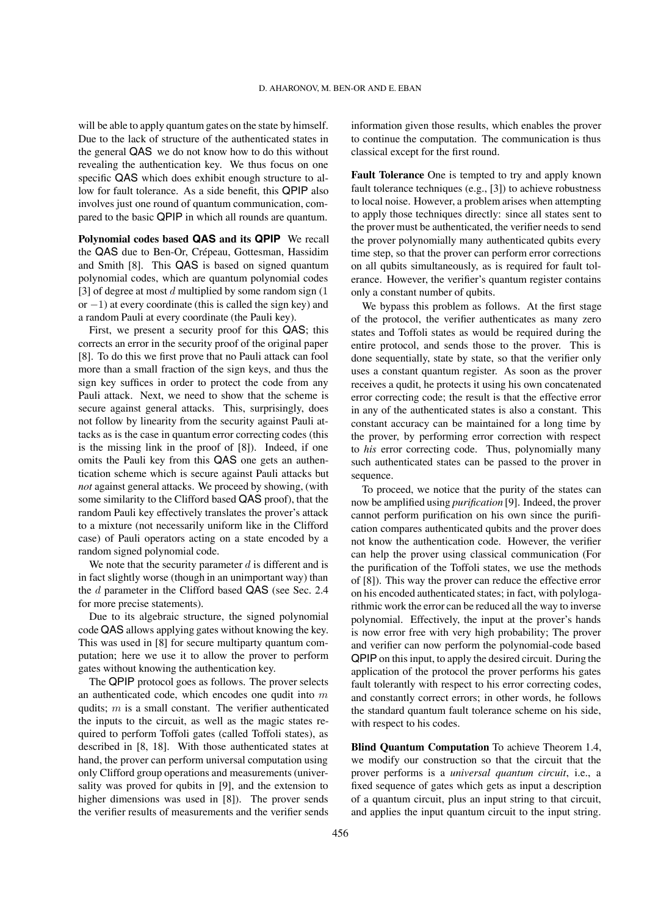will be able to apply quantum gates on the state by himself. Due to the lack of structure of the authenticated states in the general QAS we do not know how to do this without revealing the authentication key. We thus focus on one specific QAS which does exhibit enough structure to allow for fault tolerance. As a side benefit, this QPIP also involves just one round of quantum communication, compared to the basic QPIP in which all rounds are quantum.

**Polynomial codes based QAS and its QPIP** We recall the QAS due to Ben-Or, Crépeau, Gottesman, Hassidim and Smith [8]. This QAS is based on signed quantum polynomial codes, which are quantum polynomial codes [3] of degree at most  $d$  multiplied by some random sign  $(1)$ or  $-1$ ) at every coordinate (this is called the sign key) and a random Pauli at every coordinate (the Pauli key).

First, we present a security proof for this QAS; this corrects an error in the security proof of the original paper [8]. To do this we first prove that no Pauli attack can fool more than a small fraction of the sign keys, and thus the sign key suffices in order to protect the code from any Pauli attack. Next, we need to show that the scheme is secure against general attacks. This, surprisingly, does not follow by linearity from the security against Pauli attacks as is the case in quantum error correcting codes (this is the missing link in the proof of [8]). Indeed, if one omits the Pauli key from this QAS one gets an authentication scheme which is secure against Pauli attacks but *not* against general attacks. We proceed by showing, (with some similarity to the Clifford based QAS proof), that the random Pauli key effectively translates the prover's attack to a mixture (not necessarily uniform like in the Clifford case) of Pauli operators acting on a state encoded by a random signed polynomial code.

We note that the security parameter  $d$  is different and is in fact slightly worse (though in an unimportant way) than the  $d$  parameter in the Clifford based QAS (see Sec. 2.4) for more precise statements).

Due to its algebraic structure, the signed polynomial code QAS allows applying gates without knowing the key. This was used in [8] for secure multiparty quantum computation; here we use it to allow the prover to perform gates without knowing the authentication key.

The QPIP protocol goes as follows. The prover selects an authenticated code, which encodes one qudit into  $m$ qudits;  $m$  is a small constant. The verifier authenticated the inputs to the circuit, as well as the magic states required to perform Toffoli gates (called Toffoli states), as described in [8, 18]. With those authenticated states at hand, the prover can perform universal computation using only Clifford group operations and measurements (universality was proved for qubits in [9], and the extension to higher dimensions was used in [8]). The prover sends the verifier results of measurements and the verifier sends

information given those results, which enables the prover to continue the computation. The communication is thus classical except for the first round.

**Fault Tolerance** One is tempted to try and apply known fault tolerance techniques (e.g., [3]) to achieve robustness to local noise. However, a problem arises when attempting to apply those techniques directly: since all states sent to the prover must be authenticated, the verifier needs to send the prover polynomially many authenticated qubits every time step, so that the prover can perform error corrections on all qubits simultaneously, as is required for fault tolerance. However, the verifier's quantum register contains only a constant number of qubits.

We bypass this problem as follows. At the first stage of the protocol, the verifier authenticates as many zero states and Toffoli states as would be required during the entire protocol, and sends those to the prover. This is done sequentially, state by state, so that the verifier only uses a constant quantum register. As soon as the prover receives a qudit, he protects it using his own concatenated error correcting code; the result is that the effective error in any of the authenticated states is also a constant. This constant accuracy can be maintained for a long time by the prover, by performing error correction with respect to *his* error correcting code. Thus, polynomially many such authenticated states can be passed to the prover in sequence.

To proceed, we notice that the purity of the states can now be amplified using *purification* [9]. Indeed, the prover cannot perform purification on his own since the purification compares authenticated qubits and the prover does not know the authentication code. However, the verifier can help the prover using classical communication (For the purification of the Toffoli states, we use the methods of [8]). This way the prover can reduce the effective error on his encoded authenticated states; in fact, with polylogarithmic work the error can be reduced all the way to inverse polynomial. Effectively, the input at the prover's hands is now error free with very high probability; The prover and verifier can now perform the polynomial-code based QPIP on this input, to apply the desired circuit. During the application of the protocol the prover performs his gates fault tolerantly with respect to his error correcting codes, and constantly correct errors; in other words, he follows the standard quantum fault tolerance scheme on his side, with respect to his codes.

**Blind Quantum Computation** To achieve Theorem 1.4, we modify our construction so that the circuit that the prover performs is a *universal quantum circuit*, i.e., a fixed sequence of gates which gets as input a description of a quantum circuit, plus an input string to that circuit, and applies the input quantum circuit to the input string.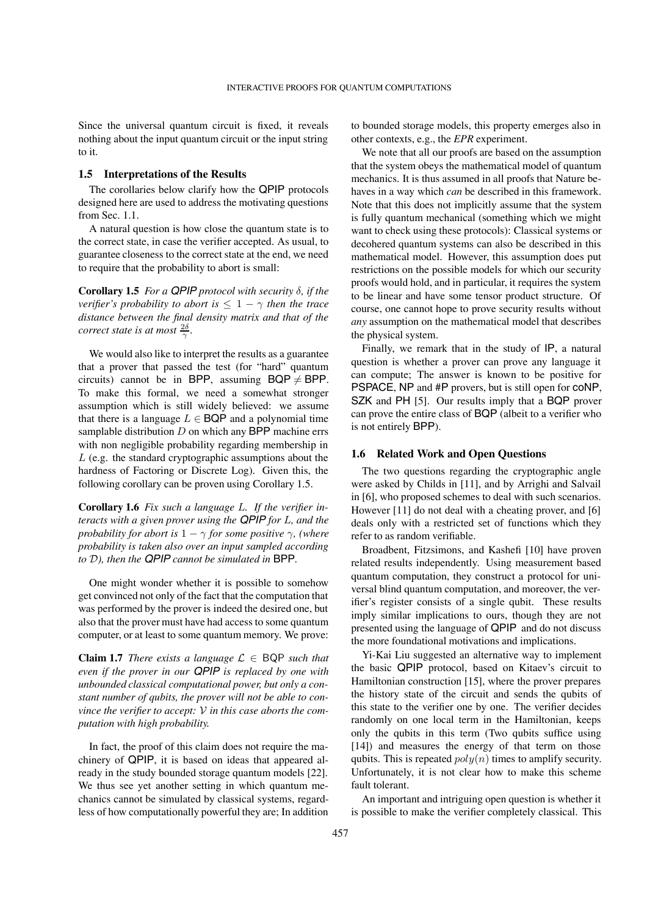Since the universal quantum circuit is fixed, it reveals nothing about the input quantum circuit or the input string to it.

#### **1.5 Interpretations of the Results**

The corollaries below clarify how the QPIP protocols designed here are used to address the motivating questions from Sec. 1.1.

A natural question is how close the quantum state is to the correct state, in case the verifier accepted. As usual, to guarantee closeness to the correct state at the end, we need to require that the probability to abort is small:

**Corollary 1.5** *For a QPIP protocol with security*  $\delta$ *, if the verifier's probability to abort is*  $\leq 1 - \gamma$  *then the trace distance between the final density matrix and that of the correct state is at most*  $\frac{2\delta}{\gamma}$ *.* 

We would also like to interpret the results as a guarantee that a prover that passed the test (for "hard" quantum circuits) cannot be in BPP, assuming  $BQP \neq BPP$ . To make this formal, we need a somewhat stronger assumption which is still widely believed: we assume that there is a language  $L \in BQP$  and a polynomial time samplable distribution  $D$  on which any BPP machine errs with non negligible probability regarding membership in  $L$  (e.g. the standard cryptographic assumptions about the hardness of Factoring or Discrete Log). Given this, the following corollary can be proven using Corollary 1.5.

**Corollary 1.6** *Fix such a language . If the verifier interacts with a given prover using the QPIP for L, and the probability for abort is*  $1 - \gamma$  *for some positive*  $\gamma$ *, (where probability is taken also over an input sampled according to*  $D$ *), then the QPIP cannot be simulated in* BPP.

One might wonder whether it is possible to somehow get convinced not only of the fact that the computation that was performed by the prover is indeed the desired one, but also that the prover must have had access to some quantum computer, or at least to some quantum memory. We prove:

**Claim 1.7** *There exists a language*  $\mathcal{L} \in BQP$  *such that even if the prover in our QPIP is replaced by one with unbounded classical computational power, but only a constant number of qubits, the prover will not be able to convince the verifier to accept: in this case aborts the computation with high probability.*

In fact, the proof of this claim does not require the machinery of QPIP, it is based on ideas that appeared already in the study bounded storage quantum models [22]. We thus see yet another setting in which quantum mechanics cannot be simulated by classical systems, regardless of how computationally powerful they are; In addition

to bounded storage models, this property emerges also in other contexts, e.g., the *EPR* experiment.

We note that all our proofs are based on the assumption that the system obeys the mathematical model of quantum mechanics. It is thus assumed in all proofs that Nature behaves in a way which *can* be described in this framework. Note that this does not implicitly assume that the system is fully quantum mechanical (something which we might want to check using these protocols): Classical systems or decohered quantum systems can also be described in this mathematical model. However, this assumption does put restrictions on the possible models for which our security proofs would hold, and in particular, it requires the system to be linear and have some tensor product structure. Of course, one cannot hope to prove security results without *any* assumption on the mathematical model that describes the physical system.

Finally, we remark that in the study of IP, a natural question is whether a prover can prove any language it can compute; The answer is known to be positive for PSPACE, NP and #P provers, but is still open for coNP, SZK and PH [5]. Our results imply that a BQP prover can prove the entire class of BQP (albeit to a verifier who is not entirely BPP).

## **1.6 Related Work and Open Questions**

The two questions regarding the cryptographic angle were asked by Childs in [11], and by Arrighi and Salvail in [6], who proposed schemes to deal with such scenarios. However [11] do not deal with a cheating prover, and [6] deals only with a restricted set of functions which they refer to as random verifiable.

Broadbent, Fitzsimons, and Kashefi [10] have proven related results independently. Using measurement based quantum computation, they construct a protocol for universal blind quantum computation, and moreover, the verifier's register consists of a single qubit. These results imply similar implications to ours, though they are not presented using the language of QPIP and do not discuss the more foundational motivations and implications.

Yi-Kai Liu suggested an alternative way to implement the basic QPIP protocol, based on Kitaev's circuit to Hamiltonian construction [15], where the prover prepares the history state of the circuit and sends the qubits of this state to the verifier one by one. The verifier decides randomly on one local term in the Hamiltonian, keeps only the qubits in this term (Two qubits suffice using [14]) and measures the energy of that term on those qubits. This is repeated  $poly(n)$  times to amplify security. Unfortunately, it is not clear how to make this scheme fault tolerant.

An important and intriguing open question is whether it is possible to make the verifier completely classical. This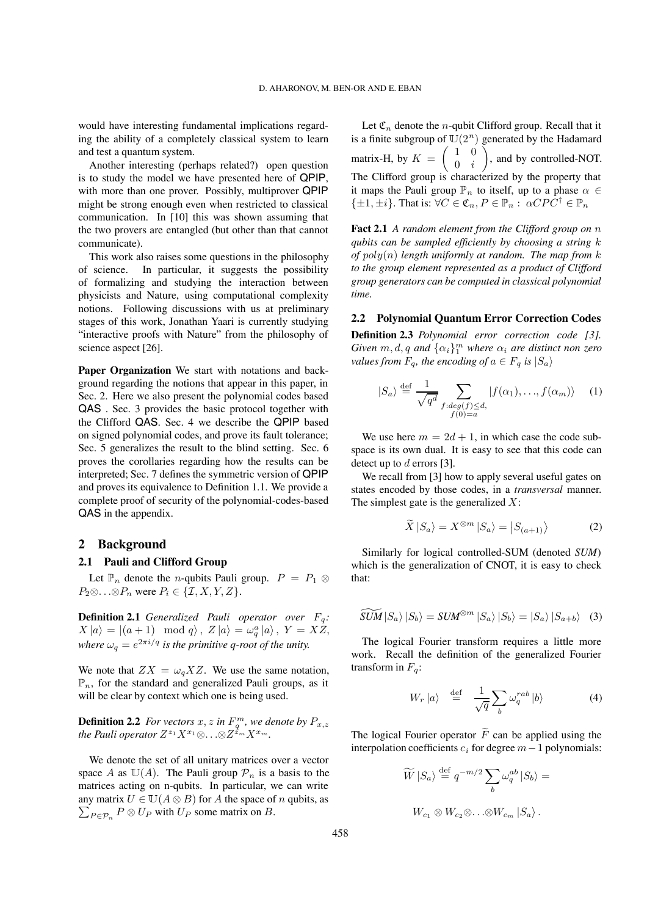would have interesting fundamental implications regarding the ability of a completely classical system to learn and test a quantum system.

Another interesting (perhaps related?) open question is to study the model we have presented here of QPIP, with more than one prover. Possibly, multiprover QPIP might be strong enough even when restricted to classical communication. In [10] this was shown assuming that the two provers are entangled (but other than that cannot communicate).

This work also raises some questions in the philosophy of science. In particular, it suggests the possibility of formalizing and studying the interaction between physicists and Nature, using computational complexity notions. Following discussions with us at preliminary stages of this work, Jonathan Yaari is currently studying "interactive proofs with Nature" from the philosophy of science aspect [26].

**Paper Organization** We start with notations and background regarding the notions that appear in this paper, in Sec. 2. Here we also present the polynomial codes based QAS . Sec. 3 provides the basic protocol together with the Clifford QAS. Sec. 4 we describe the QPIP based on signed polynomial codes, and prove its fault tolerance; Sec. 5 generalizes the result to the blind setting. Sec. 6 proves the corollaries regarding how the results can be interpreted; Sec. 7 defines the symmetric version of QPIP and proves its equivalence to Definition 1.1. We provide a complete proof of security of the polynomial-codes-based QAS in the appendix.

# **2 Background**

#### **2.1 Pauli and Clifford Group**

Let  $\mathbb{P}_n$  denote the *n*-qubits Pauli group.  $P = P_1 \otimes$  $P_2 \otimes \ldots \otimes P_n$  were  $P_i \in \{ \mathcal{I}, X, Y, Z \}.$ 

**Definition 2.1** *Generalized Pauli operator over*  $F_q$ :  $X|a\rangle = |(a+1) \mod q\rangle, Z|a\rangle = \omega_q^a|a\rangle, Y = XZ,$ *where*  $\omega_q = e^{2\pi i/q}$  *is the primitive q-root of the unity.* 

We note that  $ZX = \omega_q XZ$ . We use the same notation,  $\mathbb{P}_n$ , for the standard and generalized Pauli groups, as it will be clear by context which one is being used.

**Definition 2.2** *For vectors*  $x, z$  *in*  $F_q^m$ *, we denote by*  $P_{x,z}$ *the Pauli operator*  $Z^{z_1}X^{x_1}\otimes \ldots \otimes Z^{z_m}X^{x_m}$ .

We denote the set of all unitary matrices over a vector space A as  $\mathbb{U}(A)$ . The Pauli group  $\mathcal{P}_n$  is a basis to the matrices acting on n-qubits. In particular, we can write  $\sum_{P \in \mathcal{P}_n} P \otimes U_P$  with  $U_P$  some matrix on B. any matrix  $U \in U(A \otimes B)$  for A the space of n qubits, as

Let  $\mathfrak{C}_n$  denote the *n*-qubit Clifford group. Recall that it is a finite subgroup of  $\mathbb{U}(2^n)$  generated by the Hadamard matrix-H, by  $K = \begin{pmatrix} 1 & 0 \\ 0 & i \end{pmatrix}$  $0 \quad i$  $\bar{\wedge}$ , and by controlled-NOT. The Clifford group is characterized by the property that it maps the Pauli group  $\mathbb{P}_n$  to itself, up to a phase  $\alpha \in$  $\{\pm 1, \pm i\}$ . That is:  $\forall C \in \mathfrak{C}_n, P \in \mathbb{P}_n : \alpha C P C^{\dagger} \in \mathbb{P}_n$ 

**Fact 2.1** *A random element from the Clifford group on qubits can be sampled efficiently by choosing a string of*  $poly(n)$  *length uniformly at random. The map from*  $k$ *to the group element represented as a product of Clifford group generators can be computed in classical polynomial time.*

#### **2.2 Polynomial Quantum Error Correction Codes**

**Definition 2.3** *Polynomial error correction code [3]. Given*  $m, d, q$  and  $\{\alpha_i\}_1^m$  where  $\alpha_i$  are distinct non zero *values from*  $F_q$ , the encoding of  $a \in F_q$  is  $|S_a\rangle$ 

$$
|S_a\rangle \stackrel{\text{def}}{=} \frac{1}{\sqrt{q^d}} \sum_{\substack{f : deg(f) \le d, \\ f(0) = a}} |f(\alpha_1), \dots, f(\alpha_m)\rangle \tag{1}
$$

We use here  $m = 2d + 1$ , in which case the code subspace is its own dual. It is easy to see that this code can detect up to  $d$  errors [3].

We recall from [3] how to apply several useful gates on states encoded by those codes, in a *transversal* manner. The simplest gate is the generalized  $X$ :

$$
\widetilde{X} | S_a \rangle = X^{\otimes m} | S_a \rangle = | S_{(a+1)} \rangle \tag{2}
$$

Similarly for logical controlled-SUM (denoted *SUM*) which is the generalization of CNOT, it is easy to check that:

$$
\widetilde{SUM}\ket{S_a}\ket{S_b} = SUM^{\otimes m}\ket{S_a}\ket{S_b} = \ket{S_a}\ket{S_{a+b}}
$$
 (3)

The logical Fourier transform requires a little more work. Recall the definition of the generalized Fourier transform in  $F_q$ :

$$
W_r |a\rangle \stackrel{\text{def}}{=} \frac{1}{\sqrt{q}} \sum_b \omega_q^{rab} |b\rangle \tag{4}
$$

The logical Fourier operator  $\widetilde{F}$  can be applied using the interpolation coefficients  $c_i$  for degree  $m-1$  polynomials:

$$
\widetilde{W} | S_a \rangle \stackrel{\text{def}}{=} q^{-m/2} \sum_b \omega_q^{ab} | S_b \rangle =
$$
  

$$
W_{c_1} \otimes W_{c_2} \otimes \ldots \otimes W_{c_m} | S_a \rangle.
$$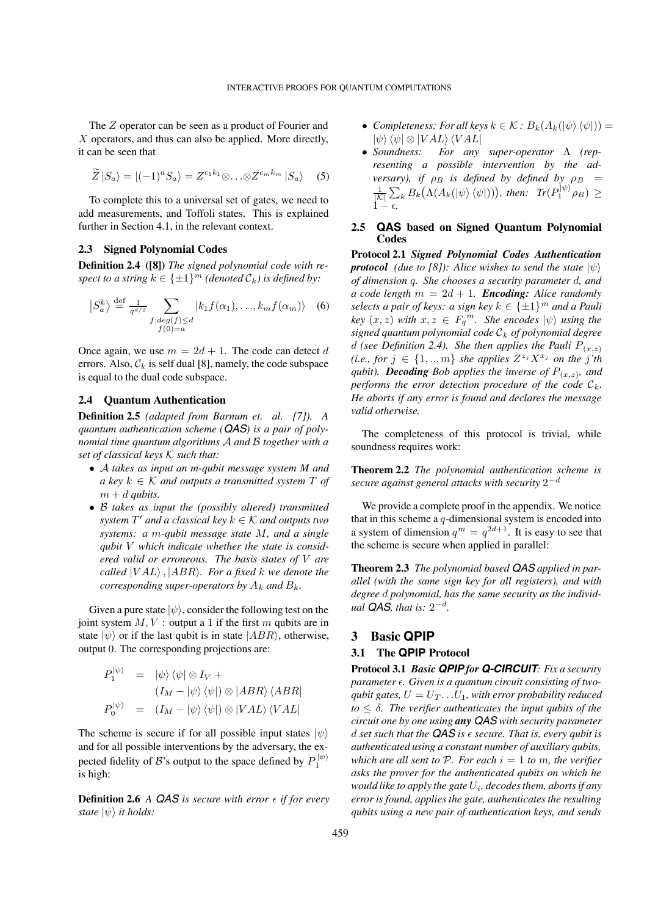The  $Z$  operator can be seen as a product of Fourier and  $X$  operators, and thus can also be applied. More directly, it can be seen that

$$
\widetilde{Z}\left|S_a\right\rangle = \left|(-1)^a S_a\right\rangle = Z^{c_1 k_1} \otimes \ldots \otimes Z^{c_m k_m} \left|S_a\right\rangle \quad (5)
$$

To complete this to a universal set of gates, we need to add measurements, and Toffoli states. This is explained further in Section 4.1, in the relevant context.

## **2.3 Signed Polynomial Codes**

**Definition 2.4 ([8])** *The signed polynomial code with respect to a string*  $k \in \{\pm 1\}^m$  *(denoted*  $C_k$ *) is defined by:* 

$$
\left|S_a^k\right> \stackrel{\text{def}}{=} \frac{1}{q^{d/2}} \sum_{\substack{f : deg(f) \le d \\ f(0) = a}} \left|k_1 f(\alpha_1), \dots, k_m f(\alpha_m)\right> \tag{6}
$$

Once again, we use  $m = 2d + 1$ . The code can detect d errors. Also,  $\mathcal{C}_k$  is self dual [8], namely, the code subspace is equal to the dual code subspace.

# **2.4 Quantum Authentication**

**Definition 2.5** *(adapted from Barnum et. al. [7]). A quantum authentication scheme (QAS) is a pair of polynomial time quantum algorithms* A and B together with a *set of classical keys such that:*

- ∙ *takes as input an m-qubit message system M and a* key  $k \in \mathcal{K}$  and outputs a transmitted system T of  $m + d$  *qubits.*
- ∙ ℬ *takes as input the (possibly altered) transmitted system*  $T'$  *and a classical key*  $k \in \mathcal{K}$  *and outputs two systems: a m-qubit message state M, and a single qubit which indicate whether the state is considered valid or erroneous. The basis states of are called*  $|VAL\rangle$ ,  $|ABR\rangle$ *. For a fixed k we denote the corresponding super-operators by*  $A_k$  *and*  $B_k$ *.*

Given a pure state  $|\psi\rangle$ , consider the following test on the joint system  $M, V:$  output a 1 if the first  $m$  qubits are in state  $|\psi\rangle$  or if the last qubit is in state  $|ABR\rangle$ , otherwise, output 0. The corresponding projections are:

$$
P_1^{|\psi\rangle} = |\psi\rangle \langle \psi| \otimes I_V +
$$
  
\n
$$
(I_M - |\psi\rangle \langle \psi|) \otimes |ABR\rangle \langle ABR|
$$
  
\n
$$
P_0^{|\psi\rangle} = (I_M - |\psi\rangle \langle \psi|) \otimes |VAL\rangle \langle VAL|
$$

The scheme is secure if for all possible input states  $|\psi\rangle$ and for all possible interventions by the adversary, the expected fidelity of *B*'s output to the space defined by  $P_1^{|\psi\rangle}$ is high:

**Definition 2.6** *A QAS is secure with error*  $\epsilon$  *if for every state*  $|\psi\rangle$  *it holds:* 

- *Completeness: For all keys*  $k \in K : B_k(A_k(|\psi\rangle \langle \psi|)) =$  $|\psi\rangle\langle\psi| \otimes |VAL\rangle\langle VAL|$
- ∙ *Soundness: For any super-operator* Λ *(representing a possible intervention by the adversary), if*  $\rho_B$  *is defined by defined by*  $\rho_B$  =  $\frac{1}{|\mathcal{K}|}\sum_k B_k\big(\Lambda(A_k(\ket{\psi}\bra{\psi})))\big)$ , then:  $Tr(P_1^{|\psi\rangle}\rho_B)\geq$  $1 - \epsilon$ .

# **2.5 QAS based on Signed Quantum Polynomial Codes**

**Protocol 2.1** *Signed Polynomial Codes Authentication protocol (due to [8]):* Alice wishes to send the state  $|\psi\rangle$ *of dimension q. She chooses a security parameter d, and a code length*  $m = 2d + 1$ *. Encoding: Alice randomly selects a pair of keys: a sign key*  $k \in \{\pm 1\}^m$  *and a Pauli*  $key(x, z)$  *with*  $x, z \in F_q^m$ . She encodes  $|\psi\rangle$  *using the signed quantum polynomial code of polynomial degree d* (see Definition 2.4). She then applies the Pauli  $P_{(x,z)}$ *(i.e., for*  $j \in \{1, ..., m\}$  *she applies*  $Z^{z_j} X^{x_j}$  *on the j'th qubit*). **Decoding** Bob applies the inverse of  $P_{(x,z)}$ , and *performs the error detection procedure of the code*  $\mathcal{C}_k$ . *He aborts if any error is found and declares the message valid otherwise.*

The completeness of this protocol is trivial, while soundness requires work:

**Theorem 2.2** *The polynomial authentication scheme is secure against general attacks with security* 2<sup>−</sup>

We provide a complete proof in the appendix. We notice that in this scheme a  $q$ -dimensional system is encoded into a system of dimension  $q^m = q^{2d+1}$ . It is easy to see that the scheme is secure when applied in parallel:

**Theorem 2.3** *The polynomial based QAS applied in parallel (with the same sign key for all registers), and with* degree *d* polynomial, has the same security as the individ*ual QAS, that is:*  $2^{-d}$ *.* 

# **3 Basic QPIP**

# **3.1 The QPIP Protocol**

**Protocol 3.1** *Basic QPIP for Q-CIRCUIT: Fix a security parameter . Given is a quantum circuit consisting of twoqubit gates,*  $U = U_T \dots U_1$ *, with error probability reduced*  $to \leq \delta$ . The verifier authenticates the input qubits of the *circuit one by one using any QAS with security parameter d* set such that the **QAS** is  $\epsilon$  secure. That is, every qubit is *authenticated using a constant number of auxiliary qubits, which are all sent to P. For each*  $i = 1$  *to*  $m$ , *the verifier asks the prover for the authenticated qubits on which he would like to apply the gate*  $U_i$ , *decodes them, aborts if any error is found, applies the gate, authenticates the resulting qubits using a new pair of authentication keys, and sends*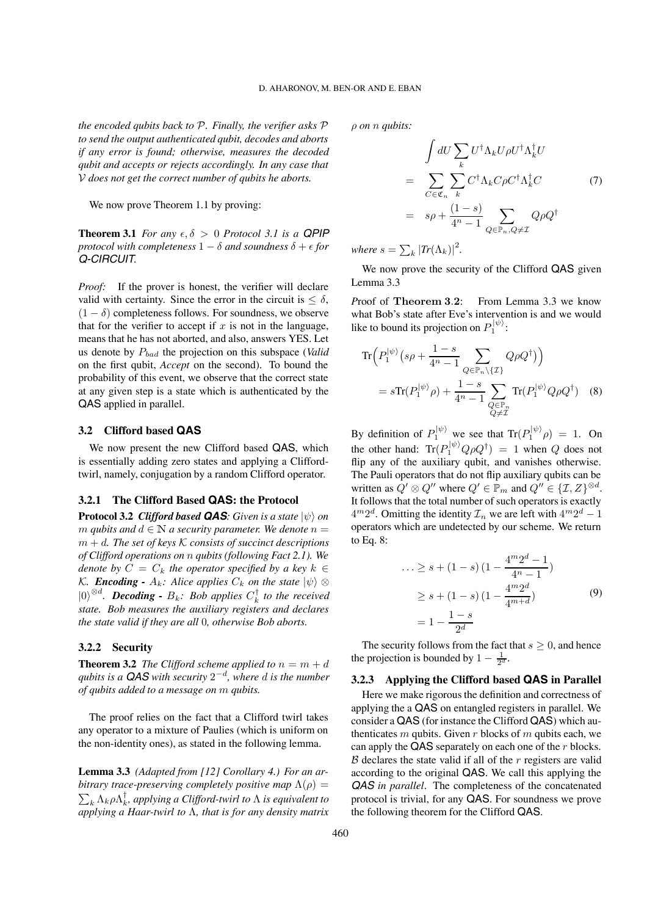*the encoded qubits back to P. Finally, the verifier asks P to send the output authenticated qubit, decodes and aborts if any error is found; otherwise, measures the decoded qubit and accepts or rejects accordingly. In any case that does not get the correct number of qubits he aborts.*

We now prove Theorem 1.1 by proving:

**Theorem 3.1** *For any*  $\epsilon, \delta > 0$  *Protocol 3.1 is a QPIP protocol with completeness*  $1 - \delta$  *and soundness*  $\delta + \epsilon$  *for Q-CIRCUIT.*

*Proof:* If the prover is honest, the verifier will declare valid with certainty. Since the error in the circuit is  $\leq \delta$ ,  $(1 - \delta)$  completeness follows. For soundness, we observe that for the verifier to accept if  $x$  is not in the language, means that he has not aborted, and also, answers YES. Let us denote by  $P_{bad}$  the projection on this subspace (*Valid* on the first qubit, *Accept* on the second). To bound the probability of this event, we observe that the correct state at any given step is a state which is authenticated by the QAS applied in parallel.

#### **3.2 Clifford based QAS**

We now present the new Clifford based QAS, which is essentially adding zero states and applying a Cliffordtwirl, namely, conjugation by a random Clifford operator.

## **3.2.1 The Clifford Based QAS: the Protocol**

**Protocol 3.2** *Clifford based QAS*: *Given is a state*  $|\psi\rangle$  *on m* qubits and  $d \in \mathbb{N}$  a security parameter. We denote  $n =$  $m + d$ . The set of keys K consists of succinct descriptions *of Clifford operations on qubits (following Fact 2.1). We denote by*  $C = C_k$  *the operator specified by a key*  $k \in$ *K*. *Encoding* -  $A_k$ : Alice applies  $C_k$  on the state  $|\psi\rangle \otimes$  $|0\rangle^{\otimes d}$ . **Decoding -**  $B_k$ : Bob applies  $C_k^{\dagger}$  to the received *state. Bob measures the auxiliary registers and declares the state valid if they are all* 0*, otherwise Bob aborts.*

## **3.2.2 Security**

**Theorem 3.2** *The Clifford scheme applied to*  $n = m + d$ *qubits is a QAS with security*  $2^{-d}$ *, where d is the number of qubits added to a message on qubits.*

The proof relies on the fact that a Clifford twirl takes any operator to a mixture of Paulies (which is uniform on the non-identity ones), as stated in the following lemma.

**Lemma 3.3** *(Adapted from [12] Corollary 4.) For an arbitrary trace-preserving completely positive map*  $\Lambda(\rho)$  =  $\sum_k \Lambda_k$ ρ $\Lambda_k^{\dagger}$ , applying a Clifford-twirl to  $\Lambda$  is equivalent to *applying a Haar-twirl to* Λ*, that is for any density matrix* *on qubits:*

$$
\int dU \sum_{k} U^{\dagger} \Lambda_{k} U \rho U^{\dagger} \Lambda_{k}^{\dagger} U
$$
\n
$$
= \sum_{C \in \mathfrak{C}_{n}} \sum_{k} C^{\dagger} \Lambda_{k} C \rho C^{\dagger} \Lambda_{k}^{\dagger} C
$$
\n
$$
= s\rho + \frac{(1-s)}{4^{n}-1} \sum_{Q \in \mathbb{P}_{n}, Q \neq \mathcal{I}} Q \rho Q^{\dagger}
$$
\n(7)

*where*  $s = \sum_{k} |Tr(\Lambda_k)|^2$ .

We now prove the security of the Clifford QAS given Lemma 3.3

*P*roof of **Theorem 3**.**2**: From Lemma 3.3 we know what Bob's state after Eve's intervention is and we would like to bound its projection on  $P_1^{|\psi\rangle}$ :

$$
\operatorname{Tr}\left(P_1^{|\psi\rangle}\left(s\rho + \frac{1-s}{4^n - 1} \sum_{Q \in \mathbb{P}_n \setminus \{\mathcal{I}\}} Q \rho Q^{\dagger}\right)\right)
$$

$$
= s \operatorname{Tr}(P_1^{|\psi\rangle}\rho) + \frac{1-s}{4^n - 1} \sum_{\substack{Q \in \mathbb{P}_n \\ Q \neq \mathcal{I}}} \operatorname{Tr}(P_1^{|\psi\rangle} Q \rho Q^{\dagger}) \quad (8)
$$

By definition of  $P_1^{|\psi\rangle}$  we see that  $\text{Tr}(P_1^{|\psi\rangle}\rho) = 1$ . On the other hand:  $Tr(P_1^{|\psi\rangle} Q \rho Q^{\dagger}) = 1$  when Q does not flip any of the auxiliary qubit, and vanishes otherwise. The Pauli operators that do not flip auxiliary qubits can be written as  $Q' \otimes Q''$  where  $Q' \in \mathbb{P}_m$  and  $Q'' \in \{I, Z\}^{\otimes d}$ . It follows that the total number of such operators is exactly  $4^{m}2^{d}$ . Omitting the identity  $\mathcal{I}_n$  we are left with  $4^{m}2^{d} - 1$ operators which are undetected by our scheme. We return to Eq. 8:

$$
\dots \ge s + (1 - s) \left( 1 - \frac{4^m 2^d - 1}{4^n - 1} \right)
$$
  
 
$$
\ge s + (1 - s) \left( 1 - \frac{4^m 2^d}{4^{m + d}} \right)
$$
  
 
$$
= 1 - \frac{1 - s}{2^d}
$$
 (9)

The security follows from the fact that  $s \geq 0$ , and hence the projection is bounded by  $1 - \frac{1}{2^d}$ .

# **3.2.3 Applying the Clifford based QAS in Parallel**

Here we make rigorous the definition and correctness of applying the a QAS on entangled registers in parallel. We consider a QAS (for instance the Clifford QAS) which authenticates  $m$  qubits. Given  $r$  blocks of  $m$  qubits each, we can apply the  $QAS$  separately on each one of the  $r$  blocks.  $\beta$  declares the state valid if all of the  $r$  registers are valid according to the original QAS. We call this applying the *QAS in parallel*. The completeness of the concatenated protocol is trivial, for any QAS. For soundness we prove the following theorem for the Clifford QAS.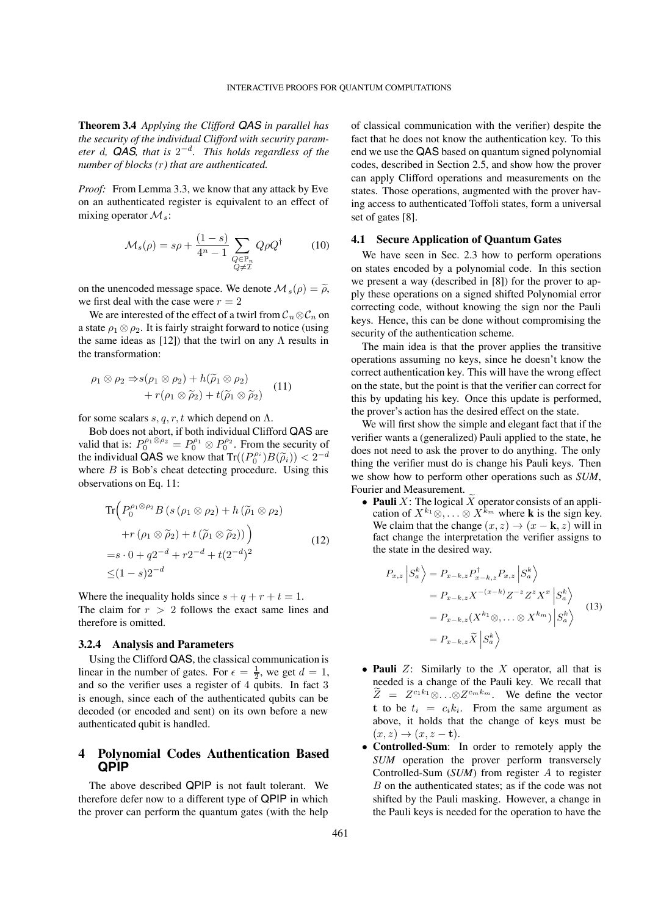**Theorem 3.4** *Applying the Clifford QAS in parallel has the security of the individual Clifford with security parameter d*, **QAS**, that is  $2^{-d}$ . This holds regardless of the *number of blocks () that are authenticated.*

*Proof:* From Lemma 3.3, we know that any attack by Eve on an authenticated register is equivalent to an effect of mixing operator  $\mathcal{M}_s$ :

$$
\mathcal{M}_s(\rho) = s\rho + \frac{(1-s)}{4^n - 1} \sum_{\substack{Q \in \mathbb{P}_n \\ Q \neq \mathcal{I}}} Q\rho Q^\dagger \tag{10}
$$

on the unencoded message space. We denote  $\mathcal{M}_s(\rho) = \widetilde{\rho},$ we first deal with the case were  $r = 2$ 

We are interested of the effect of a twirl from  $\mathcal{C}_n \otimes \mathcal{C}_n$  on a state  $\rho_1 \otimes \rho_2$ . It is fairly straight forward to notice (using the same ideas as [12]) that the twirl on any  $\Lambda$  results in the transformation:

$$
\rho_1 \otimes \rho_2 \Rightarrow s(\rho_1 \otimes \rho_2) + h(\widetilde{\rho}_1 \otimes \rho_2) + r(\rho_1 \otimes \widetilde{\rho}_2) + t(\widetilde{\rho}_1 \otimes \widetilde{\rho}_2)
$$
 (11)

for some scalars  $s, q, r, t$  which depend on  $\Lambda$ .

Bob does not abort, if both individual Clifford QAS are valid that is:  $P_0^{\rho_1 \otimes \rho_2} = P_0^{\rho_1} \otimes P_0^{\rho_2}$ . From the security of the individual  $\tilde{Q}AS$  we know that  $Tr((P_0^{\rho_i})B(\tilde{\rho}_i)) < 2^{-d}$ where  $B$  is Bob's cheat detecting procedure. Using this observations on Eq. 11:

$$
\operatorname{Tr}\left(P_0^{\rho_1 \otimes \rho_2} B\left(s\left(\rho_1 \otimes \rho_2\right) + h\left(\widetilde{\rho}_1 \otimes \rho_2\right)\right.\right.\left. + r\left(\rho_1 \otimes \widetilde{\rho}_2\right) + t\left(\widetilde{\rho}_1 \otimes \widetilde{\rho}_2\right)\right) \n= s \cdot 0 + q2^{-d} + r2^{-d} + t(2^{-d})^2 \n\leq (1-s)2^{-d}
$$
\n(12)

Where the inequality holds since  $s + q + r + t = 1$ . The claim for  $r > 2$  follows the exact same lines and therefore is omitted.

#### **3.2.4 Analysis and Parameters**

Using the Clifford QAS, the classical communication is linear in the number of gates. For  $\epsilon = \frac{1}{2}$ , we get  $d = 1$ , and so the verifier uses a register of 4 qubits. In fact 3 is enough, since each of the authenticated qubits can be decoded (or encoded and sent) on its own before a new authenticated qubit is handled.

# **4 Polynomial Codes Authentication Based QPIP**

The above described QPIP is not fault tolerant. We therefore defer now to a different type of QPIP in which the prover can perform the quantum gates (with the help

of classical communication with the verifier) despite the fact that he does not know the authentication key. To this end we use the QAS based on quantum signed polynomial codes, described in Section 2.5, and show how the prover can apply Clifford operations and measurements on the states. Those operations, augmented with the prover having access to authenticated Toffoli states, form a universal set of gates [8].

#### **4.1 Secure Application of Quantum Gates**

We have seen in Sec. 2.3 how to perform operations on states encoded by a polynomial code. In this section we present a way (described in [8]) for the prover to apply these operations on a signed shifted Polynomial error correcting code, without knowing the sign nor the Pauli keys. Hence, this can be done without compromising the security of the authentication scheme.

The main idea is that the prover applies the transitive operations assuming no keys, since he doesn't know the correct authentication key. This will have the wrong effect on the state, but the point is that the verifier can correct for this by updating his key. Once this update is performed, the prover's action has the desired effect on the state.

We will first show the simple and elegant fact that if the verifier wants a (generalized) Pauli applied to the state, he does not need to ask the prover to do anything. The only thing the verifier must do is change his Pauli keys. Then we show how to perform other operations such as *SUM*, Fourier and Measurement.

• **Pauli**  $X$ : The logical  $\widetilde{X}$  operator consists of an application of  $X^{k_1} \otimes \ldots \otimes X^{k_m}$  where **k** is the sign key. We claim that the change  $(x, z) \rightarrow (x - \mathbf{k}, z)$  will in fact change the interpretation the verifier assigns to the state in the desired way.

$$
P_{x,z} | S_a^k \rangle = P_{x-k,z} P_{x-k,z}^\dagger P_{x,z} | S_a^k \rangle
$$
  
=  $P_{x-k,z} X^{-(x-k)} Z^{-z} Z^z X^x | S_a^k \rangle$   
=  $P_{x-k,z} (X^{k_1} \otimes, \dots \otimes X^{k_m}) | S_a^k \rangle$   
=  $P_{x-k,z} \widetilde{X} | S_a^k \rangle$  (13)

- **Pauli**  $Z$ : Similarly to the  $X$  operator, all that is needed is a change of the Pauli key. We recall that  $\widetilde{Z} = Z^{c_1 k_1} \otimes \ldots \otimes Z^{c_m k_m}$ . We define the vector **t** to be  $t_i = c_i k_i$ . From the same argument as above, it holds that the change of keys must be  $(x, z) \rightarrow (x, z - \mathbf{t}).$
- ∙ **Controlled-Sum**: In order to remotely apply the *SUM* operation the prover perform transversely Controlled-Sum (*SUM*) from register A to register  $B$  on the authenticated states; as if the code was not shifted by the Pauli masking. However, a change in the Pauli keys is needed for the operation to have the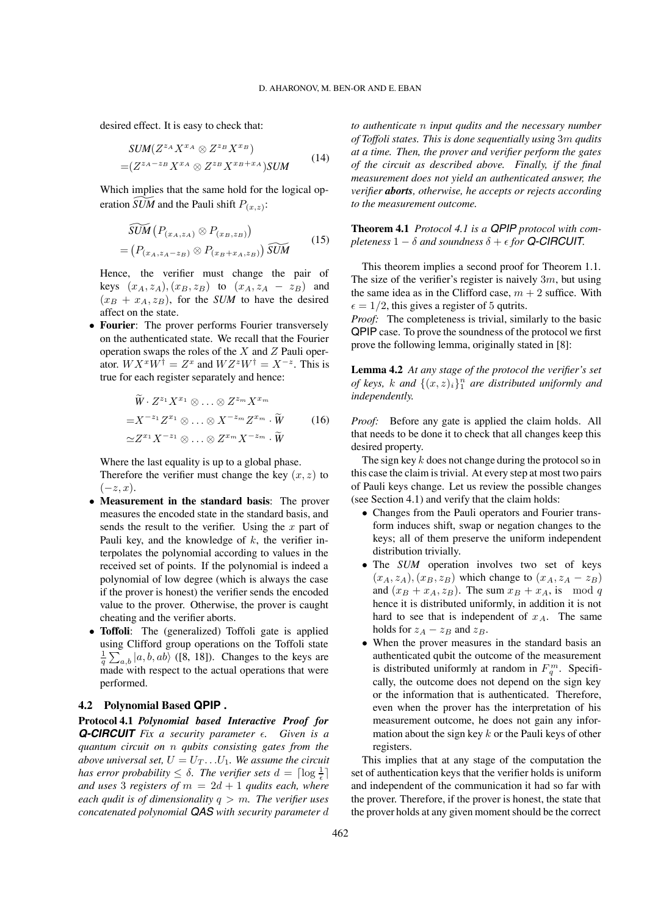desired effect. It is easy to check that:

$$
SUM(Z^{z_A}X^{x_A} \otimes Z^{z_B}X^{x_B})
$$
  
=
$$
(Z^{z_A - z_B}X^{x_A} \otimes Z^{z_B}X^{x_B + x_A})SUM
$$
 (14)

Which implies that the same hold for the logical operation *SUM* and the Pauli shift  $P_{(x,z)}$ :

$$
\widetilde{SUM}\left(P_{(x_A,z_A)} \otimes P_{(x_B,z_B)}\right) \\
= \left(P_{(x_A,z_A-z_B)} \otimes P_{(x_B+x_A,z_B)}\right) \widetilde{SUM} \tag{15}
$$

Hence, the verifier must change the pair of keys  $(x_A, z_A), (x_B, z_B)$  to  $(x_A, z_A - z_B)$  and  $(x_B + x_A, z_B)$ , for the *SUM* to have the desired affect on the state.

∙ **Fourier**: The prover performs Fourier transversely on the authenticated state. We recall that the Fourier operation swaps the roles of the  $X$  and  $Z$  Pauli operator.  $WX^xW^{\dagger} = Z^x$  and  $WZ^zW^{\dagger} = X^{-z}$ . This is true for each register separately and hence:

$$
\widetilde{W} \cdot Z^{z_1} X^{x_1} \otimes \ldots \otimes Z^{z_m} X^{x_m}
$$
\n
$$
= X^{-z_1} Z^{x_1} \otimes \ldots \otimes X^{-z_m} Z^{x_m} \cdot \widetilde{W}
$$
\n
$$
\simeq Z^{x_1} X^{-z_1} \otimes \ldots \otimes Z^{x_m} X^{-z_m} \cdot \widetilde{W}
$$
\n(16)

Where the last equality is up to a global phase.

Therefore the verifier must change the key  $(x, z)$  to  $(-z, x)$ .

- ∙ **Measurement in the standard basis**: The prover measures the encoded state in the standard basis, and sends the result to the verifier. Using the  $x$  part of Pauli key, and the knowledge of  $k$ , the verifier interpolates the polynomial according to values in the received set of points. If the polynomial is indeed a polynomial of low degree (which is always the case if the prover is honest) the verifier sends the encoded value to the prover. Otherwise, the prover is caught cheating and the verifier aborts.
- ∙ **Toffoli**: The (generalized) Toffoli gate is applied using Clifford group operations on the Toffoli state  $\frac{1}{q} \sum_{a,b} |a, b, ab\rangle$  ([8, 18]). Changes to the keys are made with respect to the actual operations that were performed.

#### **4.2 Polynomial Based QPIP .**

**Protocol 4.1** *Polynomial based Interactive Proof for Q-CIRCUIT Fix a security parameter . Given is a quantum circuit on qubits consisting gates from the above universal set,*  $U = U_T \dots U_1$ . We assume the circuit *has error probability*  $\leq \delta$ . *The verifier sets*  $d = \lceil \log \frac{1}{\epsilon} \rceil$ *and uses* 3 *registers of*  $m = 2d + 1$  *qudits each, where each qudit is of dimensionality*  $q > m$ . The verifier uses *concatenated polynomial QAS with security parameter* *to authenticate input qudits and the necessary number of Toffoli states. This is done sequentially using* 3 *qudits at a time. Then, the prover and verifier perform the gates of the circuit as described above. Finally, if the final measurement does not yield an authenticated answer, the verifier aborts, otherwise, he accepts or rejects according to the measurement outcome.*

**Theorem 4.1** *Protocol 4.1 is a QPIP protocol with completeness*  $1 - \delta$  *and soundness*  $\delta + \epsilon$  *for* **Q-CIRCUIT***.* 

This theorem implies a second proof for Theorem 1.1. The size of the verifier's register is naively  $3m$ , but using the same idea as in the Clifford case,  $m + 2$  suffice. With  $\epsilon = 1/2$ , this gives a register of 5 qutrits.

*Proof:* The completeness is trivial, similarly to the basic QPIP case. To prove the soundness of the protocol we first prove the following lemma, originally stated in [8]:

**Lemma 4.2** *At any stage of the protocol the verifier's set of keys, k and*  $\{(x, z)_i\}_1^n$  *are distributed uniformly and independently.*

*Proof:* Before any gate is applied the claim holds. All that needs to be done it to check that all changes keep this desired property.

The sign key  $k$  does not change during the protocol so in this case the claim is trivial. At every step at most two pairs of Pauli keys change. Let us review the possible changes (see Section 4.1) and verify that the claim holds:

- ∙ Changes from the Pauli operators and Fourier transform induces shift, swap or negation changes to the keys; all of them preserve the uniform independent distribution trivially.
- ∙ The *SUM* operation involves two set of keys  $(x_A, z_A), (x_B, z_B)$  which change to  $(x_A, z_A - z_B)$ and  $(x_B + x_A, z_B)$ . The sum  $x_B + x_A$ , is mod q hence it is distributed uniformly, in addition it is not hard to see that is independent of  $x_A$ . The same holds for  $z_A - z_B$  and  $z_B$ .
- ∙ When the prover measures in the standard basis an authenticated qubit the outcome of the measurement is distributed uniformly at random in  $F_q^m$ . Specifically, the outcome does not depend on the sign key or the information that is authenticated. Therefore, even when the prover has the interpretation of his measurement outcome, he does not gain any information about the sign key  $k$  or the Pauli keys of other registers.

This implies that at any stage of the computation the set of authentication keys that the verifier holds is uniform and independent of the communication it had so far with the prover. Therefore, if the prover is honest, the state that the prover holds at any given moment should be the correct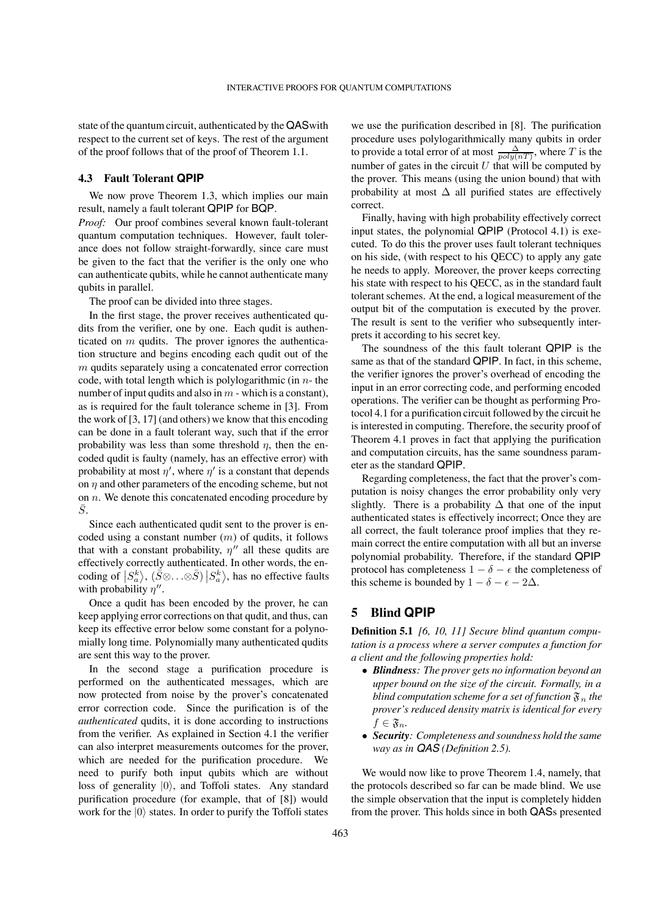state of the quantum circuit, authenticated by the QASwith respect to the current set of keys. The rest of the argument of the proof follows that of the proof of Theorem 1.1.

#### **4.3 Fault Tolerant QPIP**

We now prove Theorem 1.3, which implies our main result, namely a fault tolerant QPIP for BQP.

*Proof:* Our proof combines several known fault-tolerant quantum computation techniques. However, fault tolerance does not follow straight-forwardly, since care must be given to the fact that the verifier is the only one who can authenticate qubits, while he cannot authenticate many qubits in parallel.

The proof can be divided into three stages.

In the first stage, the prover receives authenticated qudits from the verifier, one by one. Each qudit is authenticated on  *qudits. The prover ignores the authentica*tion structure and begins encoding each qudit out of the  $m$  qudits separately using a concatenated error correction code, with total length which is polylogarithmic (in  $n$ -the number of input qudits and also in  $m$  - which is a constant), as is required for the fault tolerance scheme in [3]. From the work of [3, 17] (and others) we know that this encoding can be done in a fault tolerant way, such that if the error probability was less than some threshold  $\eta$ , then the encoded qudit is faulty (namely, has an effective error) with probability at most  $\eta'$ , where  $\eta'$  is a constant that depends on  $\eta$  and other parameters of the encoding scheme, but not on  $n$ . We denote this concatenated encoding procedure by  $\bar{S}$ .

Since each authenticated qudit sent to the prover is encoded using a constant number  $(m)$  of qudits, it follows that with a constant probability,  $\eta''$  all these qudits are effectively correctly authenticated. In other words, the encoding of  $|S_a^k\rangle$ ,  $(\check{S} \otimes \ldots \otimes \check{S}) |S_a^k\rangle$ , has no effective faults with probability  $\eta''$ .

Once a qudit has been encoded by the prover, he can keep applying error corrections on that qudit, and thus, can keep its effective error below some constant for a polynomially long time. Polynomially many authenticated qudits are sent this way to the prover.

In the second stage a purification procedure is performed on the authenticated messages, which are now protected from noise by the prover's concatenated error correction code. Since the purification is of the *authenticated* qudits, it is done according to instructions from the verifier. As explained in Section 4.1 the verifier can also interpret measurements outcomes for the prover, which are needed for the purification procedure. We need to purify both input qubits which are without loss of generality ∣0⟩, and Toffoli states. Any standard purification procedure (for example, that of [8]) would work for the ∣0⟩ states. In order to purify the Toffoli states

we use the purification described in [8]. The purification procedure uses polylogarithmically many qubits in order to provide a total error of at most  $\frac{\Delta}{poly(nT)}$ , where T is the number of gates in the circuit  $U$  that will be computed by the prover. This means (using the union bound) that with probability at most  $\Delta$  all purified states are effectively correct.

Finally, having with high probability effectively correct input states, the polynomial QPIP (Protocol 4.1) is executed. To do this the prover uses fault tolerant techniques on his side, (with respect to his QECC) to apply any gate he needs to apply. Moreover, the prover keeps correcting his state with respect to his QECC, as in the standard fault tolerant schemes. At the end, a logical measurement of the output bit of the computation is executed by the prover. The result is sent to the verifier who subsequently interprets it according to his secret key.

The soundness of the this fault tolerant QPIP is the same as that of the standard QPIP. In fact, in this scheme, the verifier ignores the prover's overhead of encoding the input in an error correcting code, and performing encoded operations. The verifier can be thought as performing Protocol 4.1 for a purification circuit followed by the circuit he is interested in computing. Therefore, the security proof of Theorem 4.1 proves in fact that applying the purification and computation circuits, has the same soundness parameter as the standard QPIP.

Regarding completeness, the fact that the prover's computation is noisy changes the error probability only very slightly. There is a probability  $\Delta$  that one of the input authenticated states is effectively incorrect; Once they are all correct, the fault tolerance proof implies that they remain correct the entire computation with all but an inverse polynomial probability. Therefore, if the standard QPIP protocol has completeness  $1 - \delta - \epsilon$  the completeness of this scheme is bounded by  $1 - \delta - \epsilon - 2\Delta$ .

# **5 Blind QPIP**

**Definition 5.1** *[6, 10, 11] Secure blind quantum computation is a process where a server computes a function for a client and the following properties hold:*

- ∙ *Blindness: The prover gets no information beyond an upper bound on the size of the circuit. Formally, in a blind computation scheme for a set of function*  $\mathfrak{F}_n$  the *prover's reduced density matrix is identical for every*  $f \in \mathfrak{F}_n$ .
- ∙ *Security: Completeness and soundness hold the same way as in QAS (Definition 2.5).*

We would now like to prove Theorem 1.4, namely, that the protocols described so far can be made blind. We use the simple observation that the input is completely hidden from the prover. This holds since in both QASs presented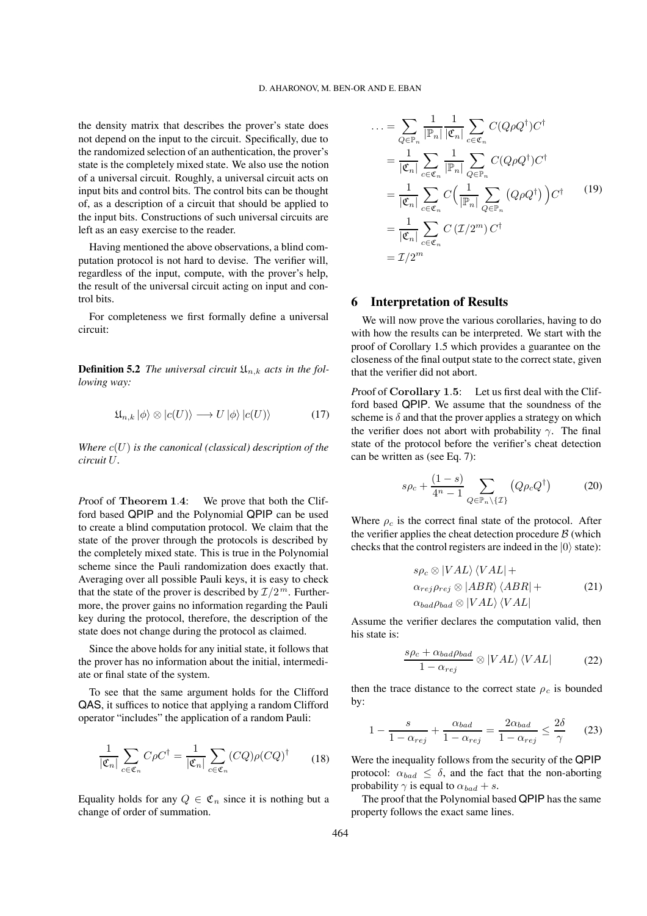the density matrix that describes the prover's state does not depend on the input to the circuit. Specifically, due to the randomized selection of an authentication, the prover's state is the completely mixed state. We also use the notion of a universal circuit. Roughly, a universal circuit acts on input bits and control bits. The control bits can be thought of, as a description of a circuit that should be applied to the input bits. Constructions of such universal circuits are left as an easy exercise to the reader.

Having mentioned the above observations, a blind computation protocol is not hard to devise. The verifier will, regardless of the input, compute, with the prover's help, the result of the universal circuit acting on input and control bits.

For completeness we first formally define a universal circuit:

**Definition 5.2** *The universal circuit*  $\mathfrak{U}_{n,k}$  *acts in the following way:*

$$
\mathfrak{U}_{n,k} |\phi\rangle \otimes |c(U)\rangle \longrightarrow U |\phi\rangle |c(U)\rangle \tag{17}
$$

*Where*  $c(U)$  *is the canonical (classical) description of the circuit .*

*P*roof of **Theorem 1**.**4**: We prove that both the Clifford based QPIP and the Polynomial QPIP can be used to create a blind computation protocol. We claim that the state of the prover through the protocols is described by the completely mixed state. This is true in the Polynomial scheme since the Pauli randomization does exactly that. Averaging over all possible Pauli keys, it is easy to check that the state of the prover is described by  $\mathcal{I}/2^m$ . Furthermore, the prover gains no information regarding the Pauli key during the protocol, therefore, the description of the state does not change during the protocol as claimed.

Since the above holds for any initial state, it follows that the prover has no information about the initial, intermediate or final state of the system.

To see that the same argument holds for the Clifford QAS, it suffices to notice that applying a random Clifford operator "includes" the application of a random Pauli:

$$
\frac{1}{|\mathfrak{C}_n|} \sum_{c \in \mathfrak{C}_n} C\rho C^{\dagger} = \frac{1}{|\mathfrak{C}_n|} \sum_{c \in \mathfrak{C}_n} (CQ)\rho (CQ)^{\dagger} \tag{18}
$$

Equality holds for any  $Q \in \mathfrak{C}_n$  since it is nothing but a change of order of summation.

$$
\begin{split}\n\ldots &= \sum_{Q \in \mathbb{P}_n} \frac{1}{|\mathbb{P}_n|} \frac{1}{|\mathfrak{C}_n|} \sum_{c \in \mathfrak{C}_n} C(Q \rho Q^{\dagger}) C^{\dagger} \\
&= \frac{1}{|\mathfrak{C}_n|} \sum_{c \in \mathfrak{C}_n} \frac{1}{|\mathbb{P}_n|} \sum_{Q \in \mathbb{P}_n} C(Q \rho Q^{\dagger}) C^{\dagger} \\
&= \frac{1}{|\mathfrak{C}_n|} \sum_{c \in \mathfrak{C}_n} C\left(\frac{1}{|\mathbb{P}_n|} \sum_{Q \in \mathbb{P}_n} (Q \rho Q^{\dagger})\right) C^{\dagger} \\
&= \frac{1}{|\mathfrak{C}_n|} \sum_{c \in \mathfrak{C}_n} C(\mathcal{I}/2^m) C^{\dagger} \\
&= \mathcal{I}/2^m\n\end{split} \tag{19}
$$

# **6 Interpretation of Results**

We will now prove the various corollaries, having to do with how the results can be interpreted. We start with the proof of Corollary 1.5 which provides a guarantee on the closeness of the final output state to the correct state, given that the verifier did not abort.

*P*roof of **Corollary 1**.**5**: Let us first deal with the Clifford based QPIP. We assume that the soundness of the scheme is  $\delta$  and that the prover applies a strategy on which the verifier does not abort with probability  $\gamma$ . The final state of the protocol before the verifier's cheat detection can be written as (see Eq. 7):

$$
s\rho_c + \frac{(1-s)}{4^n - 1} \sum_{Q \in \mathbb{P}_n \setminus \{\mathcal{I}\}} \left( Q\rho_c Q^{\dagger} \right) \tag{20}
$$

Where  $\rho_c$  is the correct final state of the protocol. After the verifier applies the cheat detection procedure  $\beta$  (which checks that the control registers are indeed in the  $|0\rangle$  state):

$$
s\rho_c \otimes |VAL\rangle \langle VAL| +
$$
  
\n
$$
\alpha_{rej}\rho_{rej} \otimes |ABR\rangle \langle ABR| +
$$
  
\n
$$
\alpha_{bad}\rho_{bad} \otimes |VAL\rangle \langle VAL|
$$
\n(21)

Assume the verifier declares the computation valid, then his state is:

$$
\frac{s\rho_c + \alpha_{bad}\rho_{bad}}{1 - \alpha_{rej}} \otimes |VAL\rangle \langle VAL| \qquad (22)
$$

then the trace distance to the correct state  $\rho_c$  is bounded by:

$$
1 - \frac{s}{1 - \alpha_{rej}} + \frac{\alpha_{bad}}{1 - \alpha_{rej}} = \frac{2\alpha_{bad}}{1 - \alpha_{rej}} \le \frac{2\delta}{\gamma} \tag{23}
$$

Were the inequality follows from the security of the QPIP protocol:  $\alpha_{bad} \leq \delta$ , and the fact that the non-aborting probability  $\gamma$  is equal to  $\alpha_{bad} + s$ .

The proof that the Polynomial based QPIP has the same property follows the exact same lines.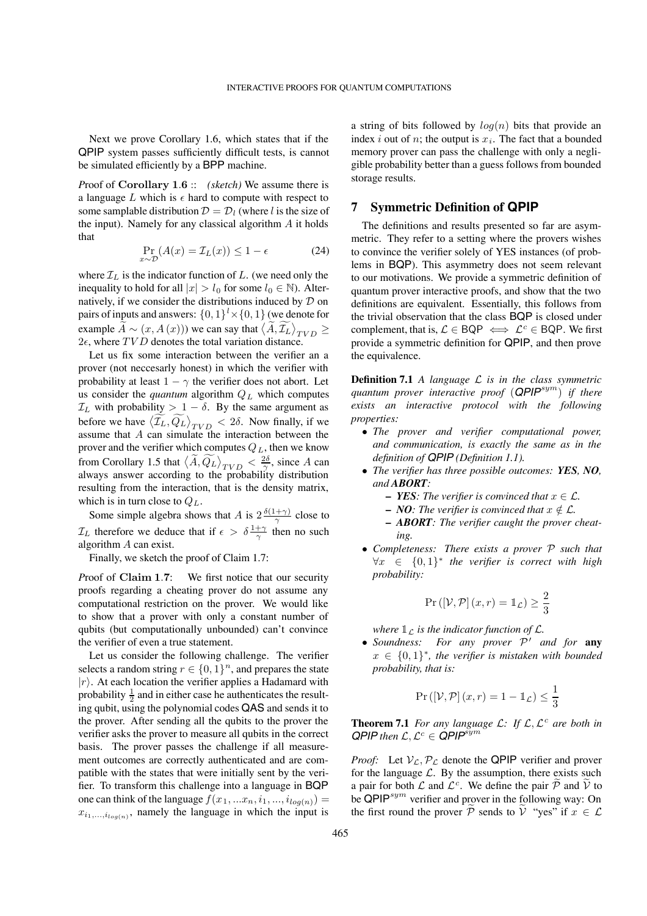Next we prove Corollary 1.6, which states that if the QPIP system passes sufficiently difficult tests, is cannot be simulated efficiently by a BPP machine.

*P*roof of **Corollary 1**.**6** :: *(sketch)* We assume there is a language L which is  $\epsilon$  hard to compute with respect to some samplable distribution  $\mathcal{D} = \mathcal{D}_l$  (where l is the size of the input). Namely for any classical algorithm  $\overline{A}$  it holds that

$$
\Pr_{x \sim \mathcal{D}}(A(x) = \mathcal{I}_L(x)) \le 1 - \epsilon \tag{24}
$$

where  $\mathcal{I}_L$  is the indicator function of  $L$ . (we need only the inequality to hold for all  $|x| > l_0$  for some  $l_0 \in \mathbb{N}$ ). Alternatively, if we consider the distributions induced by  $D$  on pairs of inputs and answers:  $\{0,1\}^l \times \{0,1\}$  (we denote for example  $\widetilde{A} \sim (x, A(x)))$  we can say that  $\langle \widetilde{A}, \widetilde{\mathcal{I}_{L}} \rangle_{TVD} \ge$  $2\epsilon$ , where  $TVD$  denotes the total variation distance.

Let us fix some interaction between the verifier an a prover (not neccesarly honest) in which the verifier with probability at least  $1 - \gamma$  the verifier does not abort. Let us consider the *quantum* algorithm  $Q_L$  which computes  $\mathcal{I}_L$  with probability > 1 –  $\delta$ . By the same argument as before we have  $\langle \widetilde{\mathcal{I}_L}, \widetilde{\mathcal{Q}_L} \rangle_{TVD} < 2\delta$ . Now finally, if we assume that  $A$  can simulate the interaction between the prover and the verifier which computes  $Q_L$ , then we know from Corollary 1.5 that  $\langle \widetilde{A}, \widetilde{Q_L} \rangle_{TVD} < \frac{2\delta}{\gamma}$ , since A can always answer according to the probability distribution resulting from the interaction, that is the density matrix, which is in turn close to  $Q_L$ .

Some simple algebra shows that A is  $2 \frac{\delta(1+\gamma)}{\gamma}$  close to  $\mathcal{I}_L$  therefore we deduce that if  $\epsilon > \delta \frac{1+\gamma}{\gamma}$  then no such algorithm  $A$  can exist.

Finally, we sketch the proof of Claim 1.7:

*P*roof of **Claim 1**.**7**: We first notice that our security proofs regarding a cheating prover do not assume any computational restriction on the prover. We would like to show that a prover with only a constant number of qubits (but computationally unbounded) can't convince the verifier of even a true statement.

Let us consider the following challenge. The verifier selects a random string  $r \in \{0,1\}^n$ , and prepares the state  $|r\rangle$ . At each location the verifier applies a Hadamard with probability  $\frac{1}{2}$  and in either case he authenticates the resulting qubit, using the polynomial codes QAS and sends it to the prover. After sending all the qubits to the prover the verifier asks the prover to measure all qubits in the correct basis. The prover passes the challenge if all measurement outcomes are correctly authenticated and are compatible with the states that were initially sent by the verifier. To transform this challenge into a language in BQP one can think of the language  $f(x_1, ... x_n, i_1, ..., i_{log(n)}) =$  $x_{i_1,\,\ldots,i_{log(n)}}$ , namely the language in which the input is

a string of bits followed by  $log(n)$  bits that provide an index *i* out of *n*; the output is  $x_i$ . The fact that a bounded memory prover can pass the challenge with only a negligible probability better than a guess follows from bounded storage results.

# **7 Symmetric Definition of QPIP**

The definitions and results presented so far are asymmetric. They refer to a setting where the provers wishes to convince the verifier solely of YES instances (of problems in BQP). This asymmetry does not seem relevant to our motivations. We provide a symmetric definition of quantum prover interactive proofs, and show that the two definitions are equivalent. Essentially, this follows from the trivial observation that the class BQP is closed under complement, that is,  $\mathcal{L} \in BQP \iff \mathcal{L}^c \in BQP$ . We first provide a symmetric definition for QPIP, and then prove the equivalence.

**Definition 7.1** *A language*  $\mathcal{L}$  *is in the class symmetric quantum prover interactive proof* (*QPIP*<sup>sym</sup>) *if there exists an interactive protocol with the following properties:*

- ∙ *The prover and verifier computational power, and communication, is exactly the same as in the definition of QPIP (Definition 1.1).*
- ∙ *The verifier has three possible outcomes: YES, NO, and ABORT:*
	- **–** *YES: The verifier is convinced that*  $x \in \mathcal{L}$ .
	- **–** *NO*: The verifier is convinced that  $x \notin \mathcal{L}$ .
	- **–** *ABORT: The verifier caught the prover cheating.*
- ∙ *Completeness: There exists a prover such that* ∀ ∈ {0, 1}<sup>∗</sup> *the verifier is correct with high probability:*

$$
\Pr\left(\left[\mathcal{V}, \mathcal{P}\right](x, r) = \mathbb{1}_{\mathcal{L}}\right) \ge \frac{2}{3}
$$

where  $\mathbb{1}_{\mathcal{L}}$  is the indicator function of  $\mathcal{L}$ .

∙ *Soundness: For any prover* ′ *and for* **any** ∈ {0, 1}<sup>∗</sup>*, the verifier is mistaken with bounded probability, that is:*

$$
\Pr\left(\left[\mathcal{V}, \mathcal{P}\right](x, r) = 1 - \mathbb{1}_{\mathcal{L}}\right) \le \frac{1}{3}
$$

**Theorem 7.1** *For any language*  $\mathcal{L}$ *:* If  $\mathcal{L}$ *,*  $\mathcal{L}^c$  *are both in*  $QPIP$  *then*  $\mathcal{L}, \mathcal{L}^c \in QPIP^{sym}$ 

*Proof:* Let  $V_{\mathcal{L}}, P_{\mathcal{L}}$  denote the QPIP verifier and prover for the language  $\mathcal{L}$ . By the assumption, there exists such a pair for both  $\mathcal L$  and  $\mathcal L^c$ . We define the pair  $\widetilde{\mathcal P}$  and  $\widetilde{\mathcal V}$  to be  $\mathsf{QPIP}^{sym}$  verifier and prover in the following way: On the first round the prover  $\mathcal P$  sends to  $\mathcal V$  "yes" if  $x \in \mathcal L$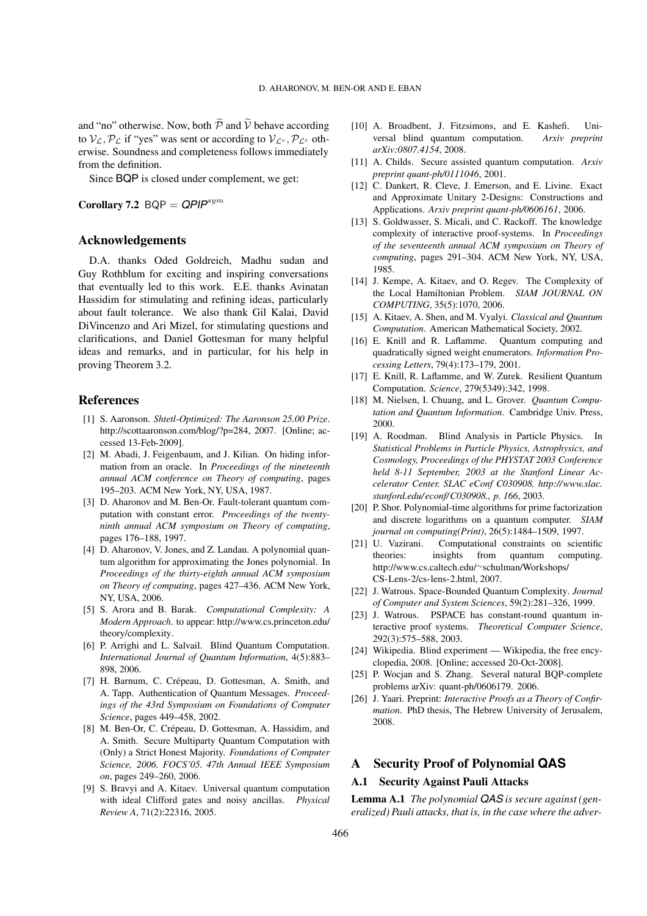and "no" otherwise. Now, both  $\widetilde{\mathcal{P}}$  and  $\widetilde{\mathcal{V}}$  behave according to  $V_c$ ,  $P_c$  if "yes" was sent or according to  $V_c$ .  $P_c$  otherwise. Soundness and completeness follows immediately from the definition.

Since BQP is closed under complement, we get:

**Corollary 7.2**  $BQP = QPIP^{sym}$ 

## **Acknowledgements**

D.A. thanks Oded Goldreich, Madhu sudan and Guy Rothblum for exciting and inspiring conversations that eventually led to this work. E.E. thanks Avinatan Hassidim for stimulating and refining ideas, particularly about fault tolerance. We also thank Gil Kalai, David DiVincenzo and Ari Mizel, for stimulating questions and clarifications, and Daniel Gottesman for many helpful ideas and remarks, and in particular, for his help in proving Theorem 3.2.

# **References**

- [1] S. Aaronson. *Shtetl-Optimized: The Aaronson 25.00 Prize*. http://scottaaronson.com/blog/?p=284, 2007. [Online; accessed 13-Feb-2009].
- [2] M. Abadi, J. Feigenbaum, and J. Kilian. On hiding information from an oracle. In *Proceedings of the nineteenth annual ACM conference on Theory of computing*, pages 195–203. ACM New York, NY, USA, 1987.
- [3] D. Aharonov and M. Ben-Or. Fault-tolerant quantum computation with constant error. *Proceedings of the twentyninth annual ACM symposium on Theory of computing*, pages 176–188, 1997.
- [4] D. Aharonov, V. Jones, and Z. Landau. A polynomial quantum algorithm for approximating the Jones polynomial. In *Proceedings of the thirty-eighth annual ACM symposium on Theory of computing*, pages 427–436. ACM New York, NY, USA, 2006.
- [5] S. Arora and B. Barak. *Computational Complexity: A Modern Approach*. to appear: http://www.cs.princeton.edu/ theory/complexity.
- [6] P. Arrighi and L. Salvail. Blind Quantum Computation. *International Journal of Quantum Information*, 4(5):883– 898, 2006.
- [7] H. Barnum, C. Crépeau, D. Gottesman, A. Smith, and A. Tapp. Authentication of Quantum Messages. *Proceedings of the 43rd Symposium on Foundations of Computer Science*, pages 449–458, 2002.
- [8] M. Ben-Or, C. Crépeau, D. Gottesman, A. Hassidim, and A. Smith. Secure Multiparty Quantum Computation with (Only) a Strict Honest Majority. *Foundations of Computer Science, 2006. FOCS'05. 47th Annual IEEE Symposium on*, pages 249–260, 2006.
- [9] S. Bravyi and A. Kitaev. Universal quantum computation with ideal Clifford gates and noisy ancillas. *Physical Review A*, 71(2):22316, 2005.
- [10] A. Broadbent, J. Fitzsimons, and E. Kashefi. Universal blind quantum computation. *Arxiv preprint arXiv:0807.4154*, 2008.
- [11] A. Childs. Secure assisted quantum computation. *Arxiv preprint quant-ph/0111046*, 2001.
- [12] C. Dankert, R. Cleve, J. Emerson, and E. Livine. Exact and Approximate Unitary 2-Designs: Constructions and Applications. *Arxiv preprint quant-ph/0606161*, 2006.
- [13] S. Goldwasser, S. Micali, and C. Rackoff. The knowledge complexity of interactive proof-systems. In *Proceedings of the seventeenth annual ACM symposium on Theory of computing*, pages 291–304. ACM New York, NY, USA, 1985.
- [14] J. Kempe, A. Kitaev, and O. Regev. The Complexity of the Local Hamiltonian Problem. *SIAM JOURNAL ON COMPUTING*, 35(5):1070, 2006.
- [15] A. Kitaev, A. Shen, and M. Vyalyi. *Classical and Quantum Computation*. American Mathematical Society, 2002.
- [16] E. Knill and R. Laflamme. Quantum computing and quadratically signed weight enumerators. *Information Processing Letters*, 79(4):173–179, 2001.
- [17] E. Knill, R. Laflamme, and W. Zurek. Resilient Quantum Computation. *Science*, 279(5349):342, 1998.
- [18] M. Nielsen, I. Chuang, and L. Grover. *Quantum Computation and Quantum Information*. Cambridge Univ. Press, 2000.
- [19] A. Roodman. Blind Analysis in Particle Physics. In *Statistical Problems in Particle Physics, Astrophysics, and Cosmology, Proceedings of the PHYSTAT 2003 Conference held 8-11 September, 2003 at the Stanford Linear Accelerator Center. SLAC eConf C030908. http://www.slac. stanford.edu/econf/C030908., p. 166*, 2003.
- [20] P. Shor. Polynomial-time algorithms for prime factorization and discrete logarithms on a quantum computer. *SIAM journal on computing(Print)*, 26(5):1484–1509, 1997.
- [21] U. Vazirani. Computational constraints on scientific theories: insights from quantum computing. http://www.cs.caltech.edu/∼schulman/Workshops/ CS-Lens-2/cs-lens-2.html, 2007.
- [22] J. Watrous. Space-Bounded Quantum Complexity. *Journal of Computer and System Sciences*, 59(2):281–326, 1999.
- [23] J. Watrous. PSPACE has constant-round quantum interactive proof systems. *Theoretical Computer Science*, 292(3):575–588, 2003.
- [24] Wikipedia. Blind experiment Wikipedia, the free encyclopedia, 2008. [Online; accessed 20-Oct-2008].
- [25] P. Wocjan and S. Zhang. Several natural BOP-complete problems arXiv: quant-ph/0606179. 2006.
- [26] J. Yaari. Preprint: *Interactive Proofs as a Theory of Confirmation*. PhD thesis, The Hebrew University of Jerusalem, 2008.

# **A Security Proof of Polynomial QAS**

# **A.1 Security Against Pauli Attacks**

**Lemma A.1** *The polynomial QAS is secure against (generalized) Pauli attacks, that is, in the case where the adver-*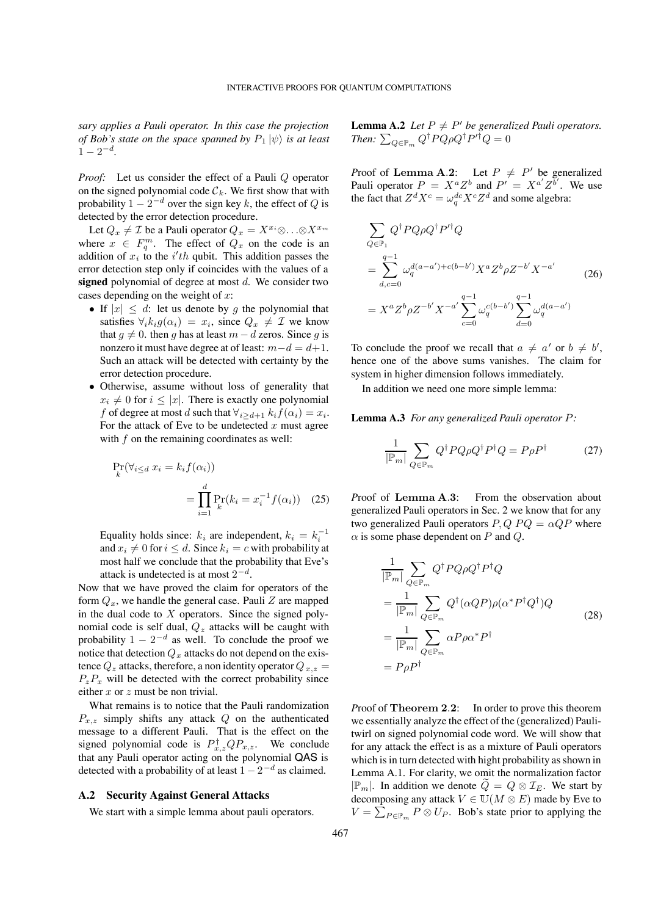*sary applies a Pauli operator. In this case the projection of Bob's state on the space spanned by*  $P_1 | \psi \rangle$  *is at least*  $1 - 2^{-d}$ .

*Proof:* Let us consider the effect of a Pauli Q operator on the signed polynomial code  $\mathcal{C}_k$ . We first show that with probability  $1 - 2^{-d}$  over the sign key k, the effect of Q is detected by the error detection procedure.

Let  $Q_x \neq \mathcal{I}$  be a Pauli operator  $Q_x = X^{x_i} \otimes \ldots \otimes X^{x_m}$ where  $x \in F_q^m$ . The effect of  $Q_x$  on the code is an addition of  $x_i$  to the i'th qubit. This addition passes the error detection step only if coincides with the values of a signed polynomial of degree at most  $d$ . We consider two cases depending on the weight of  $x$ :

- If  $|x| \leq d$ : let us denote by g the polynomial that satisfies  $\forall_i k_i g(\alpha_i) = x_i$ , since  $Q_x \neq \mathcal{I}$  we know that  $g \neq 0$ . then g has at least  $m - d$  zeros. Since g is nonzero it must have degree at of least:  $m - d = d + 1$ . Such an attack will be detected with certainty by the error detection procedure.
- ∙ Otherwise, assume without loss of generality that  $x_i \neq 0$  for  $i \leq |x|$ . There is exactly one polynomial f of degree at most d such that  $\forall_{i \geq d+1} k_i f(\alpha_i) = x_i$ . For the attack of Eve to be undetected  $x$  must agree with  $f$  on the remaining coordinates as well:

$$
\Pr_{k}(\forall_{i \le d} x_i = k_i f(\alpha_i))
$$

$$
= \prod_{i=1}^{d} \Pr_{k}(k_i = x_i^{-1} f(\alpha_i)) \quad (25)
$$

Equality holds since:  $k_i$  are independent,  $k_i = k_i^{-1}$ and  $x_i \neq 0$  for  $i \leq d$ . Since  $k_i = c$  with probability at most half we conclude that the probability that Eve's attack is undetected is at most  $2^{-d}$ .

Now that we have proved the claim for operators of the form  $Q_x$ , we handle the general case. Pauli Z are mapped in the dual code to  $X$  operators. Since the signed polynomial code is self dual,  $Q_z$  attacks will be caught with probability  $1 - 2^{-d}$  as well. To conclude the proof we notice that detection  $Q_x$  attacks do not depend on the existence  $Q_z$  attacks, therefore, a non identity operator  $Q_{x,z}$  =  $P_z P_x$  will be detected with the correct probability since either  $x$  or  $z$  must be non trivial.

What remains is to notice that the Pauli randomization  $P_{x,z}$  simply shifts any attack  $Q$  on the authenticated message to a different Pauli. That is the effect on the signed polynomial code is  $P_{x,z}^{\dagger}QP_{x,z}$ . We conclude that any Pauli operator acting on the polynomial QAS is detected with a probability of at least  $1 - 2^{-d}$  as claimed.

#### **A.2 Security Against General Attacks**

We start with a simple lemma about pauli operators.

**Lemma A.2** *Let*  $P \neq P'$  *be generalized Pauli operators. Then:*  $\sum_{Q \in \mathbb{P}_m} Q^{\dagger} P Q \rho Q^{\dagger} P^{\prime \dagger} Q = 0$ 

*Proof of Lemma A.2:* Let  $P \neq P'$  be generalized Pauli operator  $P = X^a Z^b$  and  $P' = X^{a'} Z^{b'}$ . We use the fact that  $Z^d X^c = \omega_q^{dc} X^c Z^d$  and some algebra:

$$
\sum_{Q \in \mathbb{P}_1} Q^{\dagger} P Q \rho Q^{\dagger} P'^{\dagger} Q
$$
\n
$$
= \sum_{d,c=0}^{q-1} \omega_q^{d(a-a')+c(b-b')} X^a Z^b \rho Z^{-b'} X^{-a'}
$$
\n
$$
= X^a Z^b \rho Z^{-b'} X^{-a'} \sum_{c=0}^{q-1} \omega_q^{c(b-b')} \sum_{d=0}^{q-1} \omega_q^{d(a-a')}
$$
\n(26)

To conclude the proof we recall that  $a \neq a'$  or  $b \neq b'$ , hence one of the above sums vanishes. The claim for system in higher dimension follows immediately.

In addition we need one more simple lemma:

**Lemma A.3** *For any generalized Pauli operator P:* 

$$
\frac{1}{|\mathbb{P}_m|} \sum_{Q \in \mathbb{P}_m} Q^{\dagger} P Q \rho Q^{\dagger} P^{\dagger} Q = P \rho P^{\dagger}
$$
 (27)

*P*roof of **Lemma A**.**3**: From the observation about generalized Pauli operators in Sec. 2 we know that for any two generalized Pauli operators  $P, Q, PQ = \alpha QP$  where  $\alpha$  is some phase dependent on P and Q.

$$
\frac{1}{|\mathbb{P}_m|} \sum_{Q \in \mathbb{P}_m} Q^{\dagger} P Q \rho Q^{\dagger} P^{\dagger} Q
$$
\n
$$
= \frac{1}{|\mathbb{P}_m|} \sum_{Q \in \mathbb{P}_m} Q^{\dagger} (\alpha Q P) \rho (\alpha^* P^{\dagger} Q^{\dagger}) Q
$$
\n
$$
= \frac{1}{|\mathbb{P}_m|} \sum_{Q \in \mathbb{P}_m} \alpha P \rho \alpha^* P^{\dagger}
$$
\n
$$
= P \rho P^{\dagger}
$$
\n(28)

*P*roof of **Theorem 2**.**2**: In order to prove this theorem we essentially analyze the effect of the (generalized) Paulitwirl on signed polynomial code word. We will show that for any attack the effect is as a mixture of Pauli operators which is in turn detected with hight probability as shown in Lemma A.1. For clarity, we omit the normalization factor  $|\mathbb{P}_m|$ . In addition we denote  $Q = Q \otimes \mathcal{I}_E$ . We start by decomposing any attack  $V \in U(M \otimes E)$  made by Eve to  $V = \sum_{P \in \mathbb{P}_m} P \otimes U_P$ . Bob's state prior to applying the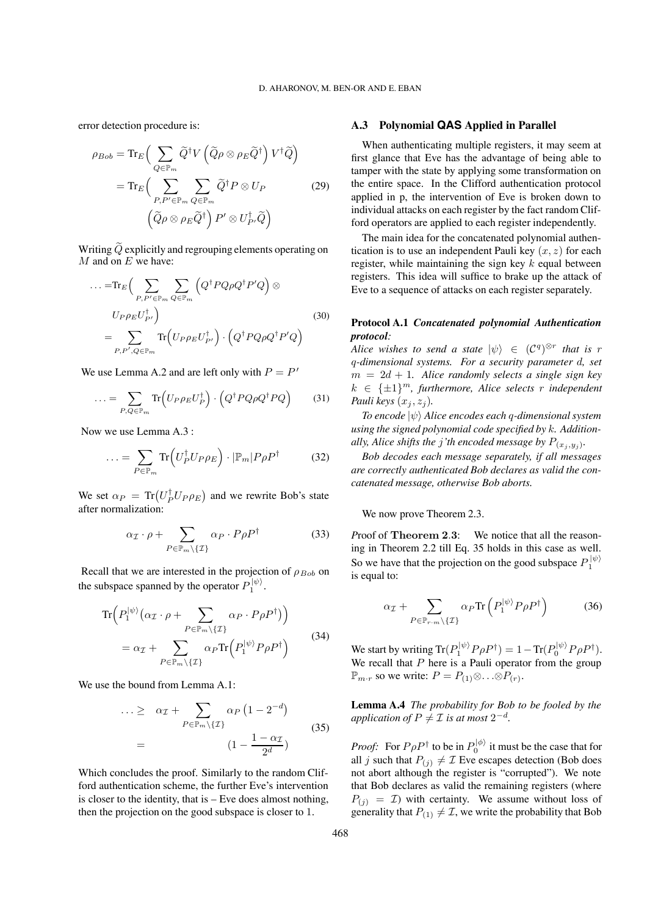error detection procedure is:

$$
\rho_{Bob} = \text{Tr}_{E} \Big( \sum_{Q \in \mathbb{P}_{m}} \widetilde{Q}^{\dagger} V \left( \widetilde{Q} \rho \otimes \rho_{E} \widetilde{Q}^{\dagger} \right) V^{\dagger} \widetilde{Q} \Big) \n= \text{Tr}_{E} \Big( \sum_{P, P' \in \mathbb{P}_{m}} \sum_{Q \in \mathbb{P}_{m}} \widetilde{Q}^{\dagger} P \otimes U_{P} \qquad (29) \n\Big( \widetilde{Q} \rho \otimes \rho_{E} \widetilde{Q}^{\dagger} \Big) P' \otimes U_{P'}^{\dagger} \widetilde{Q} \Big)
$$

Writing  $\widetilde{Q}$  explicitly and regrouping elements operating on  $M$  and on  $E$  we have:

$$
\dots = \text{Tr}_{E} \Big( \sum_{P, P' \in \mathbb{P}_{m}} \sum_{Q \in \mathbb{P}_{m}} \Big( Q^{\dagger} P Q \rho Q^{\dagger} P' Q \Big) \otimes
$$
\n
$$
U_{P} \rho_{E} U_{P'}^{\dagger} \Big) = \sum_{P, P', Q \in \mathbb{P}_{m}} \text{Tr} \Big( U_{P} \rho_{E} U_{P'}^{\dagger} \Big) \cdot \Big( Q^{\dagger} P Q \rho Q^{\dagger} P' Q \Big)
$$
\n(30)

We use Lemma A.2 and are left only with  $P = P'$ 

$$
\dots = \sum_{P,Q \in \mathbb{P}_m} \text{Tr}\left(U_P \rho_E U_P^{\dagger}\right) \cdot \left(Q^{\dagger} P Q \rho Q^{\dagger} P Q\right) \tag{31}
$$

Now we use Lemma A.3 :

$$
\dots = \sum_{P \in \mathbb{P}_m} \text{Tr}\left( U_P^{\dagger} U_P \rho_E \right) \cdot |\mathbb{P}_m| P \rho P^{\dagger} \tag{32}
$$

We set  $\alpha_P = \text{Tr} (U_P^{\dagger} U_P \rho_E)$  and we rewrite Bob's state after normalization:

$$
\alpha_{\mathcal{I}} \cdot \rho + \sum_{P \in \mathbb{P}_m \setminus \{\mathcal{I}\}} \alpha_P \cdot P \rho P^{\dagger} \tag{33}
$$

Recall that we are interested in the projection of  $\rho_{Bob}$  on the subspace spanned by the operator  $P_1^{|\psi\rangle}$ .

$$
\operatorname{Tr}\left(P_1^{|\psi\rangle}(\alpha_{\mathcal{I}} \cdot \rho + \sum_{P \in \mathbb{P}_m \setminus \{\mathcal{I}\}} \alpha_P \cdot P \rho P^{\dagger})\right) \n= \alpha_{\mathcal{I}} + \sum_{P \in \mathbb{P}_m \setminus \{\mathcal{I}\}} \alpha_P \operatorname{Tr}\left(P_1^{|\psi\rangle} P \rho P^{\dagger}\right)
$$
\n(34)

We use the bound from Lemma A.1:

$$
\cdots \geq \alpha_{\mathcal{I}} + \sum_{P \in \mathbb{P}_m \setminus \{\mathcal{I}\}} \alpha_P \left(1 - 2^{-d}\right)
$$
\n
$$
= \left(1 - \frac{1 - \alpha_{\mathcal{I}}}{2^d}\right) \tag{35}
$$

Which concludes the proof. Similarly to the random Clifford authentication scheme, the further Eve's intervention is closer to the identity, that is – Eve does almost nothing, then the projection on the good subspace is closer to 1.

# **A.3 Polynomial QAS Applied in Parallel**

When authenticating multiple registers, it may seem at first glance that Eve has the advantage of being able to tamper with the state by applying some transformation on the entire space. In the Clifford authentication protocol applied in p, the intervention of Eve is broken down to individual attacks on each register by the fact random Clifford operators are applied to each register independently.

The main idea for the concatenated polynomial authentication is to use an independent Pauli key  $(x, z)$  for each register, while maintaining the sign key  $k$  equal between registers. This idea will suffice to brake up the attack of Eve to a sequence of attacks on each register separately.

## **Protocol A.1** *Concatenated polynomial Authentication protocol:*

*Alice wishes to send a state*  $|\psi\rangle \in (C^q)^{\otimes r}$  *that is r -dimensional systems. For a security parameter , set*  $m = 2d + 1$ . Alice randomly selects a single sign key  $k \in {\{\pm 1\}}^m$ , furthermore, Alice selects r independent *Pauli keys*  $(x_i, z_i)$ *.* 

*To encode*  $|ψ⟩$  *Alice encodes each q-dimensional system using the signed polynomial code specified by . Additionally, Alice shifts the j'th encoded message by*  $P_{(x_i,y_i)}$ .

*Bob decodes each message separately, if all messages are correctly authenticated Bob declares as valid the concatenated message, otherwise Bob aborts.*

We now prove Theorem 2.3.

*P*roof of **Theorem 2**.**3**: We notice that all the reasoning in Theorem 2.2 till Eq. 35 holds in this case as well. So we have that the projection on the good subspace  $P_1^{|\psi\rangle}$ is equal to:

$$
\alpha_{\mathcal{I}} + \sum_{P \in \mathbb{P}_{r \cdot m} \setminus \{\mathcal{I}\}} \alpha_P \text{Tr}\left(P_1^{|\psi\rangle} P \rho P^{\dagger}\right) \tag{36}
$$

We start by writing  $\text{Tr}(P_1^{|\psi\rangle} P \rho P^{\dagger}) = 1 - \text{Tr}(P_0^{|\psi\rangle} P \rho P^{\dagger}).$ We recall that  $P$  here is a Pauli operator from the group  $\mathbb{P}_{m \cdot r}$  so we write:  $P = P_{(1)} \otimes \ldots \otimes P_{(r)}$ .

**Lemma A.4** *The probability for Bob to be fooled by the application of*  $P \neq \mathcal{I}$  *is at most*  $2^{-d}$ *.* 

*Proof:* For  $P \rho P^{\dagger}$  to be in  $P_0^{|\phi\rangle}$  it must be the case that for all *j* such that  $P_{(j)} \neq \mathcal{I}$  Eve escapes detection (Bob does not abort although the register is "corrupted"). We note that Bob declares as valid the remaining registers (where  $P(i) = \mathcal{I}$  with certainty. We assume without loss of generality that  $P_{(1)} \neq \mathcal{I}$ , we write the probability that Bob